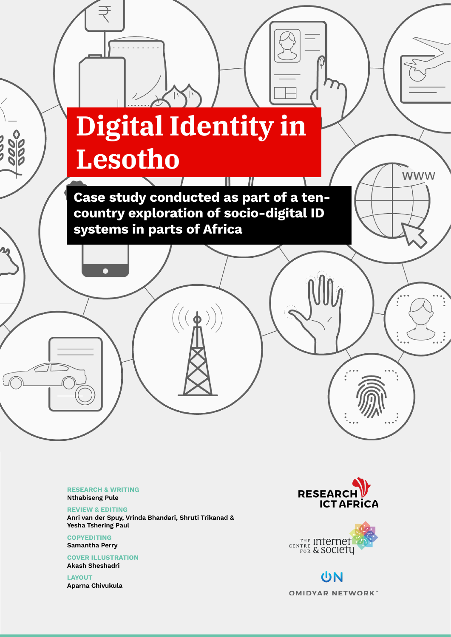# **Digital Identity in Lesotho**

 $\sim$  1  $\sim$  1  $\sim$  1  $\sim$  1  $\sim$  1  $\sim$  1  $\sim$  1  $\sim$  1  $\sim$  1  $\sim$  1  $\sim$  1  $\sim$  1  $\sim$  1  $\sim$  1  $\sim$  1  $\sim$  1  $\sim$  1  $\sim$  1  $\sim$  1  $\sim$  1  $\sim$  1  $\sim$  1  $\sim$  1  $\sim$  1  $\sim$  1  $\sim$  1  $\sim$  1  $\sim$  1  $\sim$  1  $\sim$  1  $\sim$  1  $\sim$ 

Ш.

 $\overline{\phantom{a}}$ 

Case study conducted as part of a tencountry exploration of socio-digital ID systems in parts of Africa

 $((\phi))$ 

RESEARCH & WRITING Nthabiseng Pule

REVIEW & EDITING Anri van der Spuy, Vrinda Bhandari, Shruti Trikanad & Yesha Tshering Paul

**COPYEDITING** Samantha Perry

COVER ILLUSTRATION Akash Sheshadri

LAYOUT Aparna Chivukula



**WWW** 



UN **OMIDYAR NETWORK**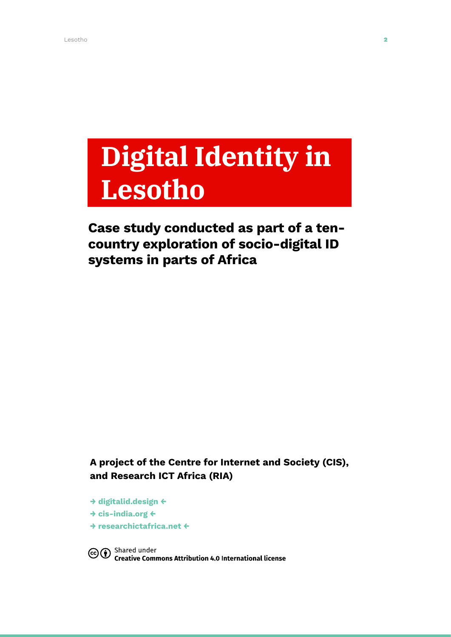## **Digital Identity in Lesotho**

### Case study conducted as part of a tencountry exploration of socio-digital ID systems in parts of Africa

A project of the Centre for Internet and Society (CIS), and Research ICT Africa (RIA)

→ [digitalid.design](http://digitalid.design) ← → [cis-india.org](http://cis-india.org) ← → [researchictafrica.net](http://researchictafrica.net) ←

Co <sup>Shared</sup> under<br>Commons Attribution 4.0 International license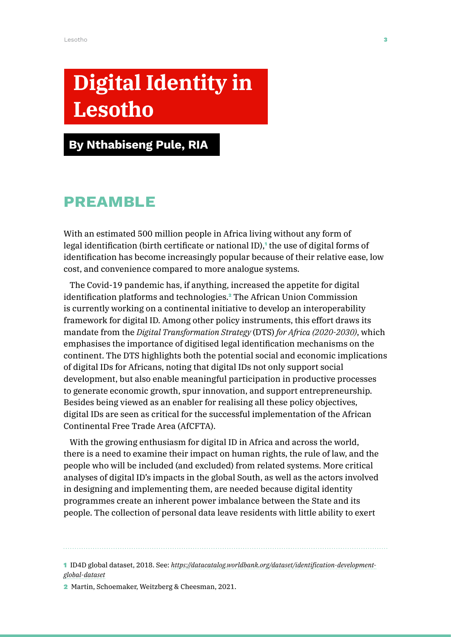## **Digital Identity in Lesotho**

### By Nthabiseng Pule, RIA

### Preamble

With an estimated 500 million people in Africa living without any form of legal identification (birth certificate or national ID),<sup>1</sup> the use of digital forms of identification has become increasingly popular because of their relative ease, low cost, and convenience compared to more analogue systems.

The Covid-19 pandemic has, if anything, increased the appetite for digital identification platforms and technologies.<sup>2</sup> The African Union Commission is currently working on a continental initiative to develop an interoperability framework for digital ID. Among other policy instruments, this effort draws its mandate from the *Digital Transformation Strategy* (DTS) *for Africa (2020-2030)*, which emphasises the importance of digitised legal identification mechanisms on the continent. The DTS highlights both the potential social and economic implications of digital IDs for Africans, noting that digital IDs not only support social development, but also enable meaningful participation in productive processes to generate economic growth, spur innovation, and support entrepreneurship. Besides being viewed as an enabler for realising all these policy objectives, digital IDs are seen as critical for the successful implementation of the African Continental Free Trade Area (AfCFTA).

With the growing enthusiasm for digital ID in Africa and across the world, there is a need to examine their impact on human rights, the rule of law, and the people who will be included (and excluded) from related systems. More critical analyses of digital ID's impacts in the global South, as well as the actors involved in designing and implementing them, are needed because digital identity programmes create an inherent power imbalance between the State and its people. The collection of personal data leave residents with little ability to exert

1 ID4D global dataset, 2018. See: *[https://datacatalog.worldbank.org/dataset/identification-development](https://datacatalog.worldbank.org/dataset/identification-development-global-dataset)[global-dataset](https://datacatalog.worldbank.org/dataset/identification-development-global-dataset)*

2 Martin, Schoemaker, Weitzberg & Cheesman, 2021.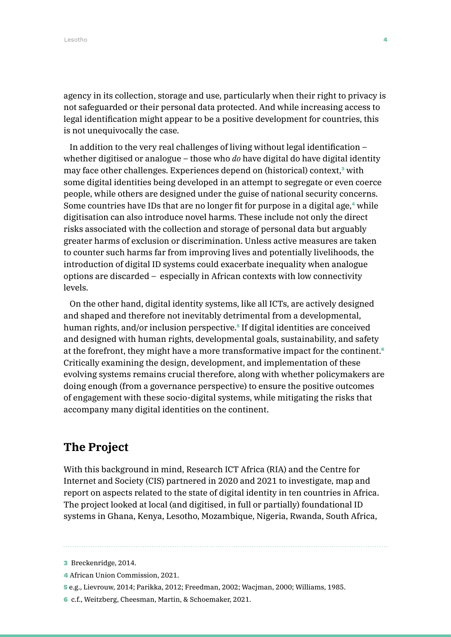agency in its collection, storage and use, particularly when their right to privacy is not safeguarded or their personal data protected. And while increasing access to legal identification might appear to be a positive development for countries, this is not unequivocally the case.

In addition to the very real challenges of living without legal identification – whether digitised or analogue – those who *do* have digital do have digital identity may face other challenges. Experiences depend on (historical) context,<sup>3</sup> with some digital identities being developed in an attempt to segregate or even coerce people, while others are designed under the guise of national security concerns. Some countries have IDs that are no longer fit for purpose in a digital age,<sup>4</sup> while digitisation can also introduce novel harms. These include not only the direct risks associated with the collection and storage of personal data but arguably greater harms of exclusion or discrimination. Unless active measures are taken to counter such harms far from improving lives and potentially livelihoods, the introduction of digital ID systems could exacerbate inequality when analogue options are discarded – especially in African contexts with low connectivity levels.

On the other hand, digital identity systems, like all ICTs, are actively designed and shaped and therefore not inevitably detrimental from a developmental, human rights, and/or inclusion perspective.<sup>5</sup> If digital identities are conceived and designed with human rights, developmental goals, sustainability, and safety at the forefront, they might have a more transformative impact for the continent.<sup>6</sup> Critically examining the design, development, and implementation of these evolving systems remains crucial therefore, along with whether policymakers are doing enough (from a governance perspective) to ensure the positive outcomes of engagement with these socio-digital systems, while mitigating the risks that accompany many digital identities on the continent.

### **The Project**

With this background in mind, Research ICT Africa (RIA) and the Centre for Internet and Society (CIS) partnered in 2020 and 2021 to investigate, map and report on aspects related to the state of digital identity in ten countries in Africa. The project looked at local (and digitised, in full or partially) foundational ID systems in Ghana, Kenya, Lesotho, Mozambique, Nigeria, Rwanda, South Africa,

<sup>3</sup> Breckenridge, 2014.

<sup>4</sup> African Union Commission, 2021.

<sup>5</sup> e.g., Lievrouw, 2014; Parikka, 2012; Freedman, 2002; Wacjman, 2000; Williams, 1985.

<sup>6</sup> c.f., Weitzberg, Cheesman, Martin, & Schoemaker, 2021.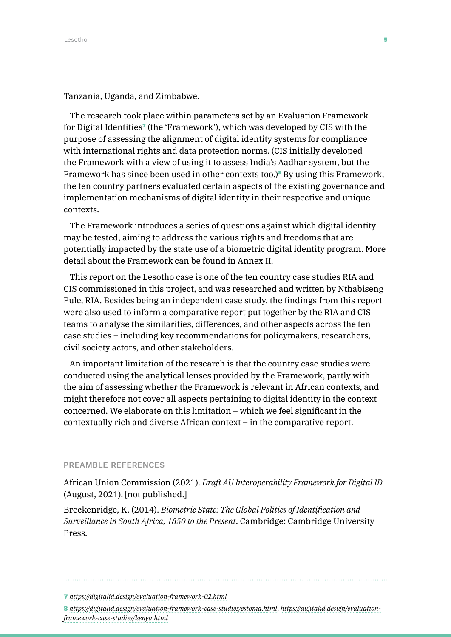Tanzania, Uganda, and Zimbabwe.

The research took place within parameters set by an Evaluation Framework for Digital Identities<sup> $\tau$ </sup> (the 'Framework'), which was developed by CIS with the purpose of assessing the alignment of digital identity systems for compliance with international rights and data protection norms. (CIS initially developed the Framework with a view of using it to assess India's Aadhar system, but the Framework has since been used in other contexts too.)<sup>8</sup> By using this Framework, the ten country partners evaluated certain aspects of the existing governance and implementation mechanisms of digital identity in their respective and unique contexts.

The Framework introduces a series of questions against which digital identity may be tested, aiming to address the various rights and freedoms that are potentially impacted by the state use of a biometric digital identity program. More detail about the Framework can be found in Annex II.

This report on the Lesotho case is one of the ten country case studies RIA and CIS commissioned in this project, and was researched and written by Nthabiseng Pule, RIA. Besides being an independent case study, the findings from this report were also used to inform a comparative report put together by the RIA and CIS teams to analyse the similarities, differences, and other aspects across the ten case studies – including key recommendations for policymakers, researchers, civil society actors, and other stakeholders.

An important limitation of the research is that the country case studies were conducted using the analytical lenses provided by the Framework, partly with the aim of assessing whether the Framework is relevant in African contexts, and might therefore not cover all aspects pertaining to digital identity in the context concerned. We elaborate on this limitation – which we feel significant in the contextually rich and diverse African context – in the comparative report.

#### PREAMBLE REFERENCES

African Union Commission (2021). *Draft AU Interoperability Framework for Digital ID* (August, 2021). [not published.]

Breckenridge, K. (2014). *Biometric State: The Global Politics of Identification and Surveillance in South Africa, 1850 to the Present*. Cambridge: Cambridge University Press.

<sup>7</sup> *<https://digitalid.design/evaluation-framework-02.html>*

<sup>8</sup> *<https://digitalid.design/evaluation-framework-case-studies/estonia.html>*, *[https://digitalid.design/evaluation](https://digitalid.design/evaluation-framework-case-studies/kenya.html)[framework-case-studies/kenya.html](https://digitalid.design/evaluation-framework-case-studies/kenya.html)*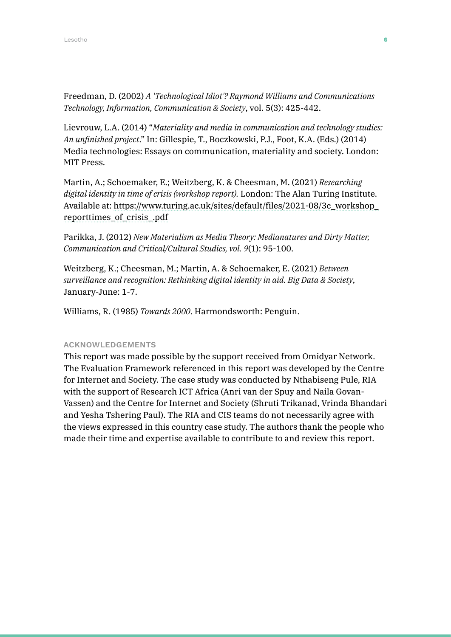Freedman, D. (2002) *A 'Technological Idiot'? Raymond Williams and Communications Technology, Information, Communication & Society*, vol. 5(3): 425-442.

Lievrouw, L.A. (2014) "*Materiality and media in communication and technology studies: An unfinished project*." In: Gillespie, T., Boczkowski, P.J., Foot, K.A. (Eds.) (2014) Media technologies: Essays on communication, materiality and society. London: MIT Press.

Martin, A.; Schoemaker, E.; Weitzberg, K. & Cheesman, M. (2021) *Researching digital identity in time of crisis (workshop report).* London: The Alan Turing Institute. Available at: [https://www.turing.ac.uk/sites/default/files/2021-08/3c\\_workshop\\_](https://www.turing.ac.uk/sites/default/files/2021-08/3c_workshop_reporttimes_of_crisis_.pdf) [reporttimes\\_of\\_crisis\\_.pdf](https://www.turing.ac.uk/sites/default/files/2021-08/3c_workshop_reporttimes_of_crisis_.pdf)

Parikka, J. (2012) *New Materialism as Media Theory: Medianatures and Dirty Matter, Communication and Critical/Cultural Studies, vol. 9*(1): 95-100.

Weitzberg, K.; Cheesman, M.; Martin, A. & Schoemaker, E. (2021) *Between surveillance and recognition: Rethinking digital identity in aid. Big Data & Society*, January-June: 1-7.

Williams, R. (1985) *Towards 2000*. Harmondsworth: Penguin.

### ACKNOWLEDGEMENTS

This report was made possible by the support received from Omidyar Network. The Evaluation Framework referenced in this report was developed by the Centre for Internet and Society. The case study was conducted by Nthabiseng Pule, RIA with the support of Research ICT Africa (Anri van der Spuy and Naila Govan-Vassen) and the Centre for Internet and Society (Shruti Trikanad, Vrinda Bhandari and Yesha Tshering Paul). The RIA and CIS teams do not necessarily agree with the views expressed in this country case study. The authors thank the people who made their time and expertise available to contribute to and review this report.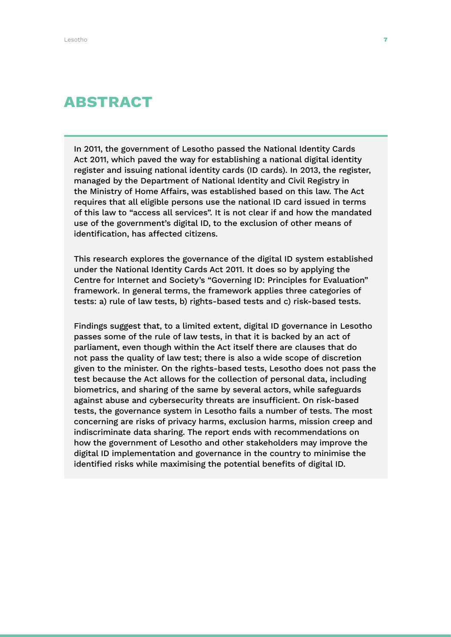### ABSTRACT

In 2011, the government of Lesotho passed the National Identity Cards Act 2011, which paved the way for establishing a national digital identity register and issuing national identity cards (ID cards). In 2013, the register, managed by the Department of National Identity and Civil Registry in the Ministry of Home Affairs, was established based on this law. The Act requires that all eligible persons use the national ID card issued in terms of this law to "access all services". It is not clear if and how the mandated use of the government's digital ID, to the exclusion of other means of identification, has affected citizens.

This research explores the governance of the digital ID system established under the National Identity Cards Act 2011. It does so by applying the Centre for Internet and Society's "Governing ID: Principles for Evaluation" framework. In general terms, the framework applies three categories of tests: a) rule of law tests, b) rights-based tests and c) risk-based tests.

Findings suggest that, to a limited extent, digital ID governance in Lesotho passes some of the rule of law tests, in that it is backed by an act of parliament, even though within the Act itself there are clauses that do not pass the quality of law test; there is also a wide scope of discretion given to the minister. On the rights-based tests, Lesotho does not pass the test because the Act allows for the collection of personal data, including biometrics, and sharing of the same by several actors, while safeguards against abuse and cybersecurity threats are insufficient. On risk-based tests, the governance system in Lesotho fails a number of tests. The most concerning are risks of privacy harms, exclusion harms, mission creep and indiscriminate data sharing. The report ends with recommendations on how the government of Lesotho and other stakeholders may improve the digital ID implementation and governance in the country to minimise the identified risks while maximising the potential benefits of digital ID.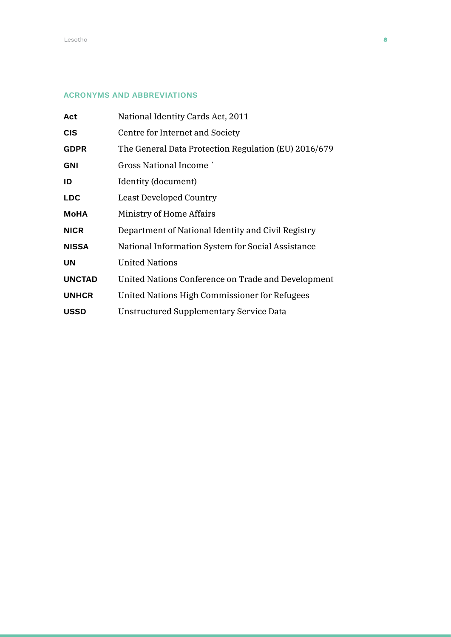### ACRONYMS AND ABBREVIATIONS

| Act           | National Identity Cards Act, 2011                    |
|---------------|------------------------------------------------------|
| <b>CIS</b>    | Centre for Internet and Society                      |
| <b>GDPR</b>   | The General Data Protection Regulation (EU) 2016/679 |
| <b>GNI</b>    | <b>Gross National Income</b>                         |
| ID            | Identity (document)                                  |
| <b>LDC</b>    | <b>Least Developed Country</b>                       |
| <b>MoHA</b>   | Ministry of Home Affairs                             |
| <b>NICR</b>   | Department of National Identity and Civil Registry   |
| <b>NISSA</b>  | National Information System for Social Assistance    |
| <b>UN</b>     | <b>United Nations</b>                                |
| <b>UNCTAD</b> | United Nations Conference on Trade and Development   |
| <b>UNHCR</b>  | United Nations High Commissioner for Refugees        |
| <b>USSD</b>   | Unstructured Supplementary Service Data              |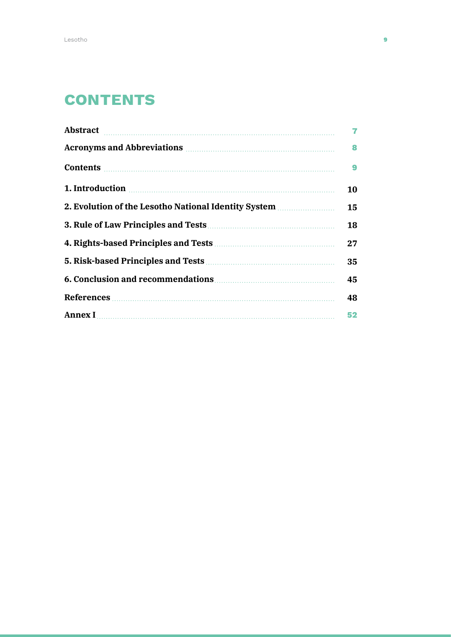### **CONTENTS**

| Abstract                                                                                                                                                                                                                                                                     | $\overline{7}$ |
|------------------------------------------------------------------------------------------------------------------------------------------------------------------------------------------------------------------------------------------------------------------------------|----------------|
| Acronyms and Abbreviations <b>contains</b> and the set of the set of the set of the set of the set of the set of the set of the set of the set of the set of the set of the set of the set of the set of the set of the set of the                                           | 8              |
| Contents <b>Executive Contents</b>                                                                                                                                                                                                                                           | 9              |
| 1. Introduction <b>contracts</b> and <b>numerical contracts</b> and <b>numerical contracts</b> and <b>numerical contracts</b> and <b>numerical contracts</b> and <b>numerical contracts</b> and <b>numerical contracts</b> and <b>numerical</b> contracts and <b>numeric</b> | 10             |
| 2. Evolution of the Lesotho National Identity System                                                                                                                                                                                                                         | 15             |
|                                                                                                                                                                                                                                                                              | 18             |
|                                                                                                                                                                                                                                                                              | 27             |
|                                                                                                                                                                                                                                                                              |                |
|                                                                                                                                                                                                                                                                              |                |
|                                                                                                                                                                                                                                                                              |                |
| Annex I manufactured and the set of the set of the set of the set of the set of the set of the set of the set of the set of the set of the set of the set of the set of the set of the set of the set of the set of the set of                                               | 52             |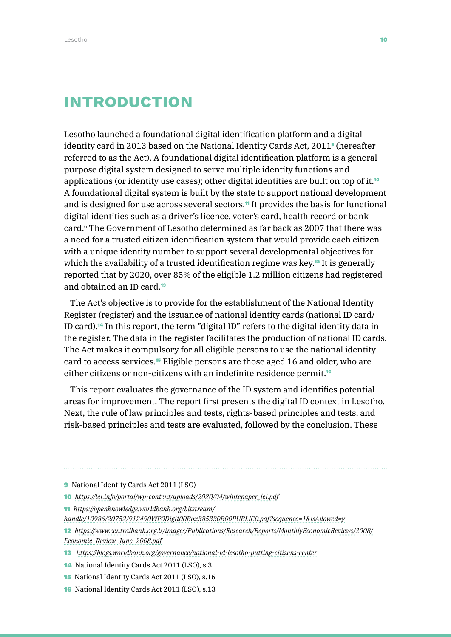### INTRODUCTION

Lesotho launched a foundational digital identification platform and a digital identity card in 2013 based on the National Identity Cards Act, 2011<sup>9</sup> (hereafter referred to as the Act). A foundational digital identification platform is a generalpurpose digital system designed to serve multiple identity functions and applications (or identity use cases); other digital identities are built on top of it.<sup>10</sup> A foundational digital system is built by the state to support national development and is designed for use across several sectors.<sup>11</sup> It provides the basis for functional digital identities such as a driver's licence, voter's card, health record or bank card.6 The Government of Lesotho determined as far back as 2007 that there was a need for a trusted citizen identification system that would provide each citizen with a unique identity number to support several developmental objectives for which the availability of a trusted identification regime was key.<sup>12</sup> It is generally reported that by 2020, over 85% of the eligible 1.2 million citizens had registered and obtained an ID card.<sup>13</sup>

The Act's objective is to provide for the establishment of the National Identity Register (register) and the issuance of national identity cards (national ID card/ ID card).14 In this report, the term "digital ID" refers to the digital identity data in the register. The data in the register facilitates the production of national ID cards. The Act makes it compulsory for all eligible persons to use the national identity card to access services.15 Eligible persons are those aged 16 and older, who are either citizens or non-citizens with an indefinite residence permit.<sup>16</sup>

This report evaluates the governance of the ID system and identifies potential areas for improvement. The report first presents the digital ID context in Lesotho. Next, the rule of law principles and tests, rights-based principles and tests, and risk-based principles and tests are evaluated, followed by the conclusion. These

- 11 *[https://openknowledge.worldbank.org/bitstream/](https://openknowledge.worldbank.org/bitstream/handle/10986/20752/912490WP0Digit00Box385330B00PUBLIC0.pdf?sequence=1&isAllowed=y)*
- *[handle/10986/20752/912490WP0Digit00Box385330B00PUBLIC0.pdf?sequence=1&isAllowed=y](https://openknowledge.worldbank.org/bitstream/handle/10986/20752/912490WP0Digit00Box385330B00PUBLIC0.pdf?sequence=1&isAllowed=y)*

12 *[https://www.centralbank.org.ls/images/Publications/Research/Reports/MonthlyEconomicReviews/2008/](https://www.centralbank.org.ls/images/Publications/Research/Reports/MonthlyEconomicReviews/2008/Economic_Review_June_2008.pdf) [Economic\\_Review\\_June\\_2008.pdf](https://www.centralbank.org.ls/images/Publications/Research/Reports/MonthlyEconomicReviews/2008/Economic_Review_June_2008.pdf)*

- 13 *<https://blogs.worldbank.org/governance/national-id-lesotho-putting-citizens-center>*
- 14 National Identity Cards Act 2011 (LSO), s.3
- 15 National Identity Cards Act 2011 (LSO), s.16
- 16 National Identity Cards Act 2011 (LSO), s.13

<sup>9</sup> National Identity Cards Act 2011 (LSO)

<sup>10</sup> *[https://lei.info/portal/wp-content/uploads/2020/04/whitepaper\\_lei.pdf](https://lei.info/portal/wp-content/uploads/2020/04/whitepaper_lei.pdf)*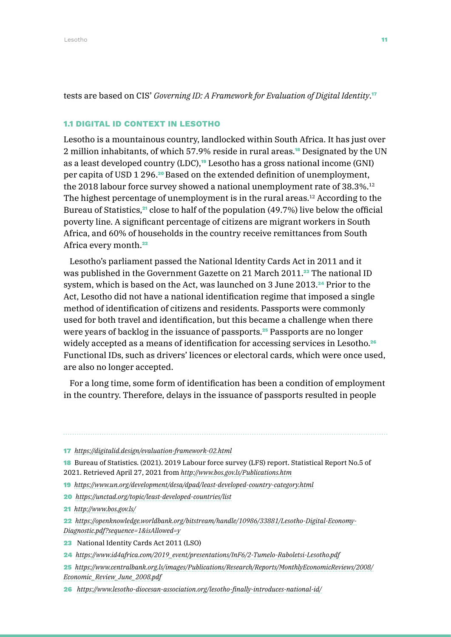tests are based on CIS' *Governing ID: A Framework for Evaluation of Digital Identity*. 17

### 1.1 DIGITAL ID CONTEXT IN LESOTHO

Lesotho is a mountainous country, landlocked within South Africa. It has just over 2 million inhabitants, of which 57.9% reside in rural areas.18 Designated by the UN as a least developed country (LDC),<sup>19</sup> Lesotho has a gross national income (GNI) per capita of USD 1 296.<sup>20</sup> Based on the extended definition of unemployment, the 2018 labour force survey showed a national unemployment rate of 38.3%.<sup>12</sup> The highest percentage of unemployment is in the rural areas.12 According to the Bureau of Statistics,<sup>21</sup> close to half of the population (49.7%) live below the official poverty line. A significant percentage of citizens are migrant workers in South Africa, and 60% of households in the country receive remittances from South Africa every month.<sup>22</sup>

Lesotho's parliament passed the National Identity Cards Act in 2011 and it was published in the Government Gazette on 21 March 2011.<sup>23</sup> The national ID system, which is based on the Act, was launched on 3 June 2013.24 Prior to the Act, Lesotho did not have a national identification regime that imposed a single method of identification of citizens and residents. Passports were commonly used for both travel and identification, but this became a challenge when there were years of backlog in the issuance of passports.<sup>25</sup> Passports are no longer widely accepted as a means of identification for accessing services in Lesotho.<sup>26</sup> Functional IDs, such as drivers' licences or electoral cards, which were once used, are also no longer accepted.

For a long time, some form of identification has been a condition of employment in the country. Therefore, delays in the issuance of passports resulted in people

17 *<https://digitalid.design/evaluation-framework-02.html>*

18 Bureau of Statistics. (2021). 2019 Labour force survey (LFS) report. Statistical Report No.5 of 2021. Retrieved April 27, 2021 from *<http://www.bos.gov.ls/Publications.htm>*

19 *<https://www.un.org/development/desa/dpad/least-developed-country-category.html>*

- 20 *<https://unctad.org/topic/least-developed-countries/list>*
- 21 *<http://www.bos.gov.ls/>*
- 22 *[https://openknowledge.worldbank.org/bitstream/handle/10986/33881/Lesotho-Digital-Economy-](https://openknowledge.worldbank.org/bitstream/handle/10986/33881/Lesotho-Digital-Economy-Diagnostic.)[Diagnostic.pdf?sequence=1&isAllowed=y](https://openknowledge.worldbank.org/bitstream/handle/10986/33881/Lesotho-Digital-Economy-Diagnostic.)*
- 23 National Identity Cards Act 2011 (LSO)
- 24 *[https://www.id4africa.com/2019\\_event/presentations/InF6/2-Tumelo-Raboletsi-Lesotho.pdf](https://www.id4africa.com/2019_event/presentations/InF6/2-Tumelo-Raboletsi-Lesotho.pdf)*
- 25 *[https://www.centralbank.org.ls/images/Publications/Research/Reports/MonthlyEconomicReviews/2008/](https://www.centralbank.org.ls/images/Publications/Research/Reports/MonthlyEconomicReviews/2008/Economic_Review_June_2008.pdf) [Economic\\_Review\\_June\\_2008.pdf](https://www.centralbank.org.ls/images/Publications/Research/Reports/MonthlyEconomicReviews/2008/Economic_Review_June_2008.pdf)*

26 *<https://www.lesotho-diocesan-association.org/lesotho-finally-introduces-national-id/>*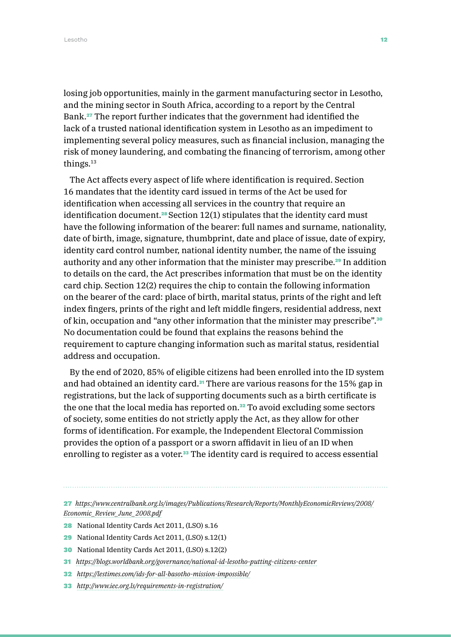losing job opportunities, mainly in the garment manufacturing sector in Lesotho, and the mining sector in South Africa, according to a report by the Central Bank.27 The report further indicates that the government had identified the lack of a trusted national identification system in Lesotho as an impediment to implementing several policy measures, such as financial inclusion, managing the risk of money laundering, and combating the financing of terrorism, among other things.13

The Act affects every aspect of life where identification is required. Section 16 mandates that the identity card issued in terms of the Act be used for identification when accessing all services in the country that require an identification document.<sup>28</sup> Section  $12(1)$  stipulates that the identity card must have the following information of the bearer: full names and surname, nationality, date of birth, image, signature, thumbprint, date and place of issue, date of expiry, identity card control number, national identity number, the name of the issuing authority and any other information that the minister may prescribe.29 In addition to details on the card, the Act prescribes information that must be on the identity card chip. Section 12(2) requires the chip to contain the following information on the bearer of the card: place of birth, marital status, prints of the right and left index fingers, prints of the right and left middle fingers, residential address, next of kin, occupation and "any other information that the minister may prescribe".<sup>30</sup> No documentation could be found that explains the reasons behind the requirement to capture changing information such as marital status, residential address and occupation.

By the end of 2020, 85% of eligible citizens had been enrolled into the ID system and had obtained an identity card.<sup>31</sup> There are various reasons for the 15% gap in registrations, but the lack of supporting documents such as a birth certificate is the one that the local media has reported on.<sup>32</sup> To avoid excluding some sectors of society, some entities do not strictly apply the Act, as they allow for other forms of identification. For example, the Independent Electoral Commission provides the option of a passport or a sworn affidavit in lieu of an ID when enrolling to register as a voter.<sup>33</sup> The identity card is required to access essential

27 *[https://www.centralbank.org.ls/images/Publications/Research/Reports/MonthlyEconomicReviews/2008/](https://www.centralbank.org.ls/images/Publications/Research/Reports/MonthlyEconomicReviews/2008/Econ) [Economic\\_Review\\_June\\_2008.pdf](https://www.centralbank.org.ls/images/Publications/Research/Reports/MonthlyEconomicReviews/2008/Econ)*

- 28 National Identity Cards Act 2011, (LSO) s.16
- 29 National Identity Cards Act 2011, (LSO) s.12(1)
- 30 National Identity Cards Act 2011, (LSO) s.12(2)
- 31 *<https://blogs.worldbank.org/governance/national-id-lesotho-putting-citizens-center>*
- 32 *<https://lestimes.com/ids-for-all-basotho-mission-impossible/>*
- 33 *<http://www.iec.org.ls/requirements-in-registration/>*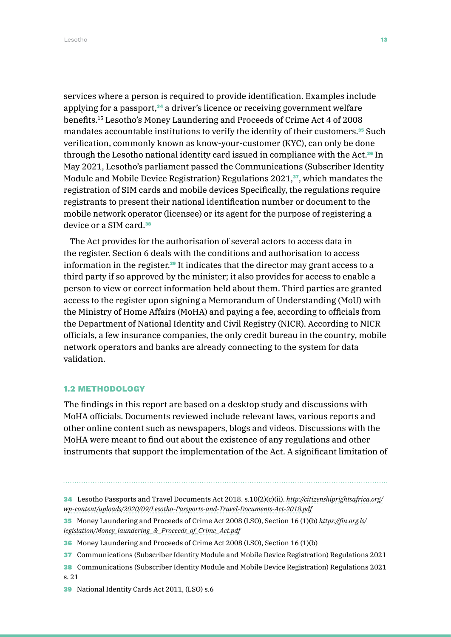Lesotho 13

services where a person is required to provide identification. Examples include applying for a passport,<sup>34</sup> a driver's licence or receiving government welfare benefits.15 Lesotho's Money Laundering and Proceeds of Crime Act 4 of 2008 mandates accountable institutions to verify the identity of their customers.<sup>35</sup> Such verification, commonly known as know-your-customer (KYC), can only be done through the Lesotho national identity card issued in compliance with the Act.<sup>36</sup> In May 2021, Lesotho's parliament passed the Communications (Subscriber Identity Module and Mobile Device Registration) Regulations  $2021$ ,<sup>37</sup>, which mandates the registration of SIM cards and mobile devices Specifically, the regulations require registrants to present their national identification number or document to the mobile network operator (licensee) or its agent for the purpose of registering a device or a SIM card.<sup>38</sup>

The Act provides for the authorisation of several actors to access data in the register. Section 6 deals with the conditions and authorisation to access information in the register.39 It indicates that the director may grant access to a third party if so approved by the minister; it also provides for access to enable a person to view or correct information held about them. Third parties are granted access to the register upon signing a Memorandum of Understanding (MoU) with the Ministry of Home Affairs (MoHA) and paying a fee, according to officials from the Department of National Identity and Civil Registry (NICR). According to NICR officials, a few insurance companies, the only credit bureau in the country, mobile network operators and banks are already connecting to the system for data validation.

### 1.2 METHODOLOGY

The findings in this report are based on a desktop study and discussions with MoHA officials. Documents reviewed include relevant laws, various reports and other online content such as newspapers, blogs and videos. Discussions with the MoHA were meant to find out about the existence of any regulations and other instruments that support the implementation of the Act. A significant limitation of

- 34 Lesotho Passports and Travel Documents Act 2018. s.10(2)(c)(ii). *[http://citizenshiprightsafrica.org/](http://citizenshiprightsafrica.org/wp-content/uploads/2020/09/Lesotho-Passports-and-Travel-Documents-Act-2018.pdf) [wp-content/uploads/2020/09/Lesotho-Passports-and-Travel-Documents-Act-2018.pdf](http://citizenshiprightsafrica.org/wp-content/uploads/2020/09/Lesotho-Passports-and-Travel-Documents-Act-2018.pdf)*
- 35 Money Laundering and Proceeds of Crime Act 2008 (LSO), Section 16 (1)(b) *[https://fiu.org.ls/](https://fiu.org.ls/legislation/Money_laundering_&_Proceeds_of_Crime_Act.pdf) [legislation/Money\\_laundering\\_&\\_Proceeds\\_of\\_Crime\\_Act.pdf](https://fiu.org.ls/legislation/Money_laundering_&_Proceeds_of_Crime_Act.pdf)*
- 36 Money Laundering and Proceeds of Crime Act 2008 (LSO), Section 16 (1)(b)
- 37 Communications (Subscriber Identity Module and Mobile Device Registration) Regulations 2021
- 38 Communications (Subscriber Identity Module and Mobile Device Registration) Regulations 2021 s. 21
- 39 National Identity Cards Act 2011, (LSO) s.6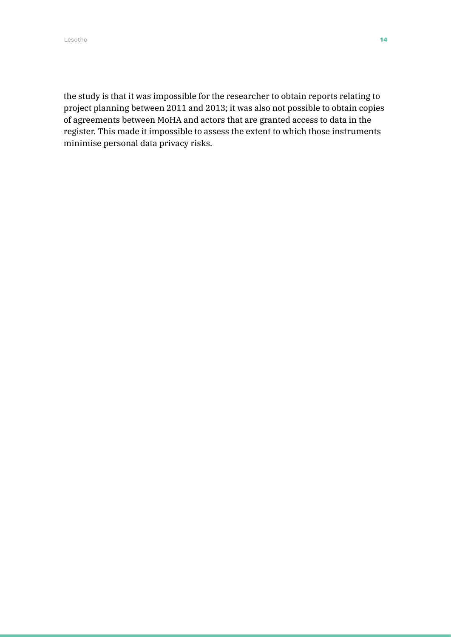the study is that it was impossible for the researcher to obtain reports relating to project planning between 2011 and 2013; it was also not possible to obtain copies of agreements between MoHA and actors that are granted access to data in the register. This made it impossible to assess the extent to which those instruments minimise personal data privacy risks.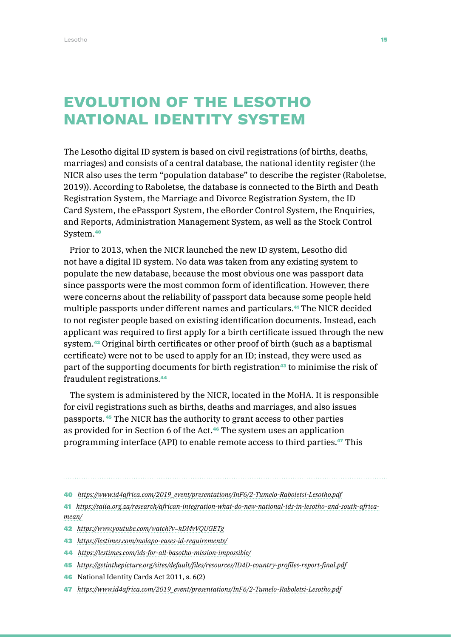### Evolution of the Lesotho national identity system

The Lesotho digital ID system is based on civil registrations (of births, deaths, marriages) and consists of a central database, the national identity register (the NICR also uses the term "population database" to describe the register (Raboletse, 2019)). According to Raboletse, the database is connected to the Birth and Death Registration System, the Marriage and Divorce Registration System, the ID Card System, the ePassport System, the eBorder Control System, the Enquiries, and Reports, Administration Management System, as well as the Stock Control System.<sup>40</sup>

Prior to 2013, when the NICR launched the new ID system, Lesotho did not have a digital ID system. No data was taken from any existing system to populate the new database, because the most obvious one was passport data since passports were the most common form of identification. However, there were concerns about the reliability of passport data because some people held multiple passports under different names and particulars.<sup>41</sup> The NICR decided to not register people based on existing identification documents. Instead, each applicant was required to first apply for a birth certificate issued through the new system.42 Original birth certificates or other proof of birth (such as a baptismal certificate) were not to be used to apply for an ID; instead, they were used as part of the supporting documents for birth registration<sup>43</sup> to minimise the risk of fraudulent registrations.<sup>44</sup>

The system is administered by the NICR, located in the MoHA. It is responsible for civil registrations such as births, deaths and marriages, and also issues passports. <sup>45</sup> The NICR has the authority to grant access to other parties as provided for in Section 6 of the Act.<sup>46</sup> The system uses an application programming interface (API) to enable remote access to third parties.47 This

40 *[https://www.id4africa.com/2019\\_event/presentations/InF6/2-Tumelo-Raboletsi-Lesotho.pdf](https://www.id4africa.com/2019_event/presentations/InF6/2-Tumelo-Raboletsi-Lesotho.pdf)*

41 *[https://saiia.org.za/research/african-integration-what-do-new-national-ids-in-lesotho-and-south-africa](https://saiia.org.za/research/african-integration-what-do-new-national-ids-in-lesotho-and-south-afri)[mean/](https://saiia.org.za/research/african-integration-what-do-new-national-ids-in-lesotho-and-south-afri)*

- 42 *<https://www.youtube.com/watch?v=kDMvVQUGETg>*
- 43 *<https://lestimes.com/molapo-eases-id-requirements/>*
- 44 *<https://lestimes.com/ids-for-all-basotho-mission-impossible/>*
- 45 *<https://getinthepicture.org/sites/default/files/resources/ID4D-country-profiles-report-final.pdf>*
- 46 National Identity Cards Act 2011, s. 6(2)
- 47 *[https://www.id4africa.com/2019\\_event/presentations/InF6/2-Tumelo-Raboletsi-Lesotho.pdf](https://www.id4africa.com/2019_event/presentations/InF6/2-Tumelo-Raboletsi-Lesotho.pdf)*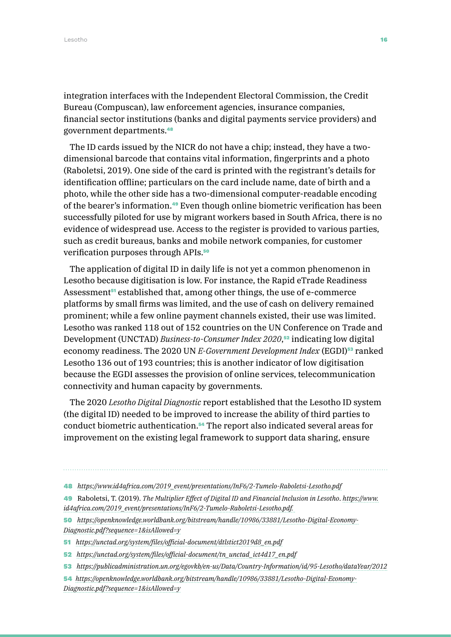integration interfaces with the Independent Electoral Commission, the Credit Bureau (Compuscan), law enforcement agencies, insurance companies, financial sector institutions (banks and digital payments service providers) and government departments.<sup>48</sup>

The ID cards issued by the NICR do not have a chip; instead, they have a twodimensional barcode that contains vital information, fingerprints and a photo (Raboletsi, 2019). One side of the card is printed with the registrant's details for identification offline; particulars on the card include name, date of birth and a photo, while the other side has a two-dimensional computer-readable encoding of the bearer's information.49 Even though online biometric verification has been successfully piloted for use by migrant workers based in South Africa, there is no evidence of widespread use. Access to the register is provided to various parties, such as credit bureaus, banks and mobile network companies, for customer verification purposes through APIs.<sup>50</sup>

The application of digital ID in daily life is not yet a common phenomenon in Lesotho because digitisation is low. For instance, the Rapid eTrade Readiness Assessment<sup>51</sup> established that, among other things, the use of e-commerce platforms by small firms was limited, and the use of cash on delivery remained prominent; while a few online payment channels existed, their use was limited. Lesotho was ranked 118 out of 152 countries on the UN Conference on Trade and Development (UNCTAD) *Business-to-Consumer Index 2020*, <sup>52</sup> indicating low digital economy readiness. The 2020 UN *E-Government Development Index* (EGDI)<sup>53</sup> ranked Lesotho 136 out of 193 countries; this is another indicator of low digitisation because the EGDI assesses the provision of online services, telecommunication connectivity and human capacity by governments.

The 2020 *Lesotho Digital Diagnostic* report established that the Lesotho ID system (the digital ID) needed to be improved to increase the ability of third parties to conduct biometric authentication.54 The report also indicated several areas for improvement on the existing legal framework to support data sharing, ensure

- 48 *[https://www.id4africa.com/2019\\_event/presentations/InF6/2-Tumelo-Raboletsi-Lesotho.pdf](https://www.id4africa.com/2019_event/presentations/InF6/2-Tumelo-Raboletsi-Lesotho.pdf)*
- 49 Raboletsi, T. (2019). *The Multiplier Effect of Digital ID and Financial Inclusion in Lesotho*. *[https://www.](https://www.id4africa.com/2019_event/presentations/InF6/2-Tumelo-Raboletsi-Lesotho.pdf. ) [id4africa.com/2019\\_event/presentations/InF6/2-Tumelo-Raboletsi-Lesotho.pdf.](https://www.id4africa.com/2019_event/presentations/InF6/2-Tumelo-Raboletsi-Lesotho.pdf. )*
- 50 *[https://openknowledge.worldbank.org/bitstream/handle/10986/33881/Lesotho-Digital-Economy-](https://openknowledge.worldbank.org/bitstream/handle/10986/33881/Lesotho-Digital-Economy-Diagnostic.)[Diagnostic.pdf?sequence=1&isAllowed=y](https://openknowledge.worldbank.org/bitstream/handle/10986/33881/Lesotho-Digital-Economy-Diagnostic.)*
- 51 *[https://unctad.org/system/files/official-document/dtlstict2019d8\\_en.pdf](https://unctad.org/system/files/official-document/dtlstict2019d8_en.pdf)*
- 52 *[https://unctad.org/system/files/official-document/tn\\_unctad\\_ict4d17\\_en.pdf](https://unctad.org/system/files/official-document/tn_unctad_ict4d17_en.pdf)*
- 53 *[https://publicadministration.un.org/egovkb/en-us/Data/Country-Information/id/95-Lesotho/dataYear/2012](https://publicadministration.un.org/egovkb/en-us/Data/Country-Information/id/95-Lesotho/dataYear/201)*
- 54 *[https://openknowledge.worldbank.org/bitstream/handle/10986/33881/Lesotho-Digital-Economy-](https://openknowledge.worldbank.org/bitstream/handle/10986/33881/Lesotho-Digital-Economy-Diagnostic.)[Diagnostic.pdf?sequence=1&isAllowed=y](https://openknowledge.worldbank.org/bitstream/handle/10986/33881/Lesotho-Digital-Economy-Diagnostic.)*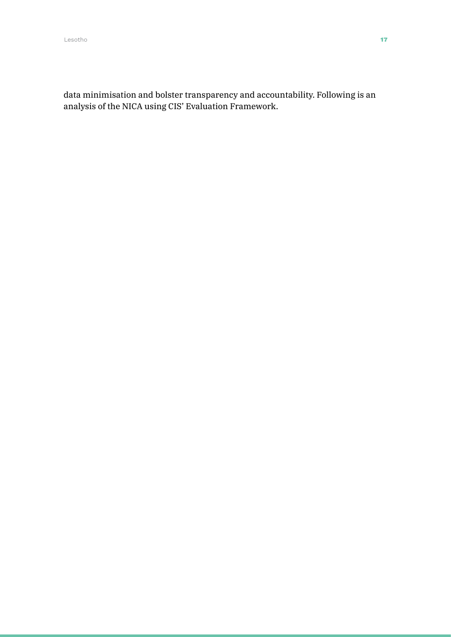data minimisation and bolster transparency and accountability. Following is an analysis of the NICA using CIS' Evaluation Framework.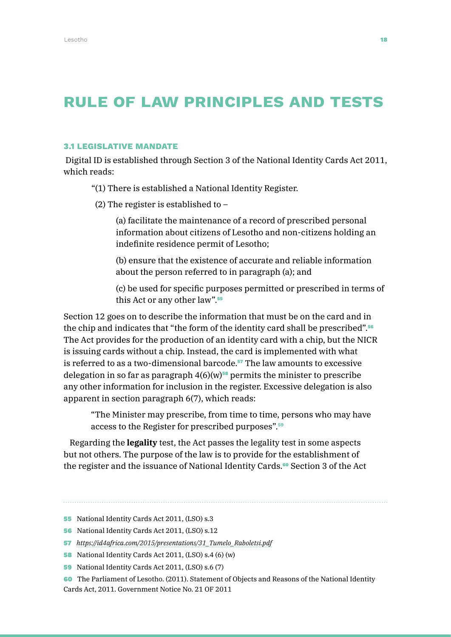### RULE OF LAW PRINCIPLES AND TESTS

### 3.1 LEGISLATIVE MANDATE

Digital ID is established through Section 3 of the National Identity Cards Act 2011, which reads:

"(1) There is established a National Identity Register.

(2) The register is established to –

(a) facilitate the maintenance of a record of prescribed personal information about citizens of Lesotho and non-citizens holding an indefinite residence permit of Lesotho;

(b) ensure that the existence of accurate and reliable information about the person referred to in paragraph (a); and

(c) be used for specific purposes permitted or prescribed in terms of this Act or any other law".<sup>55</sup>

Section 12 goes on to describe the information that must be on the card and in the chip and indicates that "the form of the identity card shall be prescribed".<sup>56</sup> The Act provides for the production of an identity card with a chip, but the NICR is issuing cards without a chip. Instead, the card is implemented with what is referred to as a two-dimensional barcode.<sup>57</sup> The law amounts to excessive delegation in so far as paragraph  $4(6)(w)$ <sup>58</sup> permits the minister to prescribe any other information for inclusion in the register. Excessive delegation is also apparent in section paragraph 6(7), which reads:

"The Minister may prescribe, from time to time, persons who may have access to the Register for prescribed purposes".<sup>59</sup>

Regarding the **legality** test, the Act passes the legality test in some aspects but not others. The purpose of the law is to provide for the establishment of the register and the issuance of National Identity Cards.<sup>60</sup> Section 3 of the Act

- 55 National Identity Cards Act 2011, (LSO) s.3
- 56 National Identity Cards Act 2011, (LSO) s.12
- 57 *[https://id4africa.com/2015/presentations/31\\_Tumelo\\_Raboletsi.pdf](https://id4africa.com/2015/presentations/31_Tumelo_Raboletsi.pdf)*
- 58 National Identity Cards Act 2011, (LSO) s.4 (6) (w)
- 59 National Identity Cards Act 2011, (LSO) s.6 (7)
- 60 The Parliament of Lesotho. (2011). Statement of Objects and Reasons of the National Identity Cards Act, 2011. Government Notice No. 21 OF 2011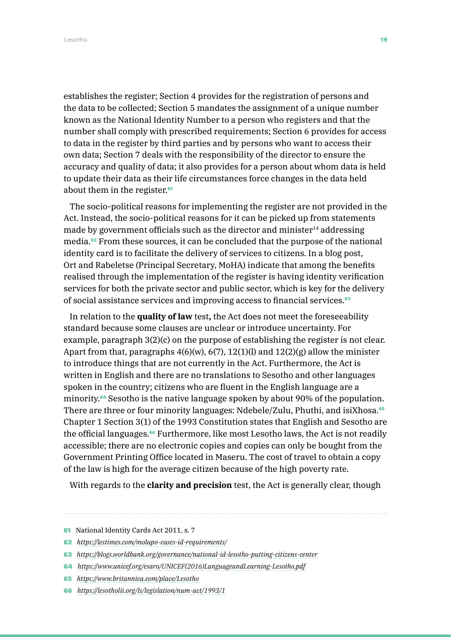Lesotho 19

establishes the register; Section 4 provides for the registration of persons and the data to be collected; Section 5 mandates the assignment of a unique number known as the National Identity Number to a person who registers and that the number shall comply with prescribed requirements; Section 6 provides for access to data in the register by third parties and by persons who want to access their own data; Section 7 deals with the responsibility of the director to ensure the accuracy and quality of data; it also provides for a person about whom data is held to update their data as their life circumstances force changes in the data held about them in the register.<sup>61</sup>

The socio-political reasons for implementing the register are not provided in the Act. Instead, the socio-political reasons for it can be picked up from statements made by government officials such as the director and minister<sup>14</sup> addressing media.62 From these sources, it can be concluded that the purpose of the national identity card is to facilitate the delivery of services to citizens. In a blog post, Ort and Rabeletse (Principal Secretary, MoHA) indicate that among the benefits realised through the implementation of the register is having identity verification services for both the private sector and public sector, which is key for the delivery of social assistance services and improving access to financial services.<sup>63</sup>

In relation to the **quality of law** test**,** the Act does not meet the foreseeability standard because some clauses are unclear or introduce uncertainty. For example, paragraph 3(2)(c) on the purpose of establishing the register is not clear. Apart from that, paragraphs  $4(6)(w)$ ,  $6(7)$ ,  $12(1)(l)$  and  $12(2)(g)$  allow the minister to introduce things that are not currently in the Act. Furthermore, the Act is written in English and there are no translations to Sesotho and other languages spoken in the country; citizens who are fluent in the English language are a minority.64 Sesotho is the native language spoken by about 90% of the population. There are three or four minority languages: Ndebele/Zulu, Phuthi, and isiXhosa.<sup>65</sup> Chapter 1 Section 3(1) of the 1993 Constitution states that English and Sesotho are the official languages.<sup>66</sup> Furthermore, like most Lesotho laws, the Act is not readily accessible; there are no electronic copies and copies can only be bought from the Government Printing Office located in Maseru. The cost of travel to obtain a copy of the law is high for the average citizen because of the high poverty rate.

With regards to the **clarity and precision** test, the Act is generally clear, though

<sup>61</sup> National Identity Cards Act 2011, s. 7

<sup>62</sup> *<https://lestimes.com/molapo-eases-id-requirements/>*

<sup>63</sup> *<https://blogs.worldbank.org/governance/national-id-lesotho-putting-citizens-center>*

<sup>64</sup> *[https://www.unicef.org/esaro/UNICEF\(2016\)LanguageandLearning-Lesotho.pdf](https://www.unicef.org/esaro/UNICEF(2016)LanguageandLearning-Lesotho.pdf)*

<sup>65</sup> *<https://www.britannica.com/place/Lesotho>*

<sup>66</sup> *<https://lesotholii.org/ls/legislation/num-act/1993/1>*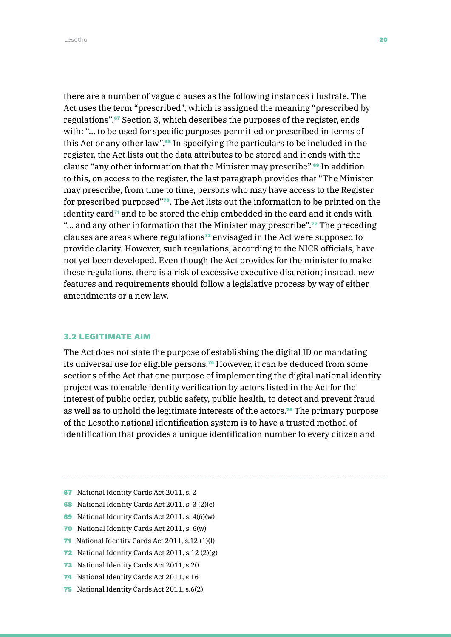there are a number of vague clauses as the following instances illustrate. The Act uses the term "prescribed", which is assigned the meaning "prescribed by regulations".67 Section 3, which describes the purposes of the register, ends with: "… to be used for specific purposes permitted or prescribed in terms of this Act or any other law".68 In specifying the particulars to be included in the register, the Act lists out the data attributes to be stored and it ends with the clause "any other information that the Minister may prescribe".69 In addition to this, on access to the register, the last paragraph provides that "The Minister may prescribe, from time to time, persons who may have access to the Register for prescribed purposed"70. The Act lists out the information to be printed on the identity card<sup> $\pi$ </sup> and to be stored the chip embedded in the card and it ends with "... and any other information that the Minister may prescribe".<sup>72</sup> The preceding clauses are areas where regulations73 envisaged in the Act were supposed to provide clarity. However, such regulations, according to the NICR officials, have not yet been developed. Even though the Act provides for the minister to make these regulations, there is a risk of excessive executive discretion; instead, new features and requirements should follow a legislative process by way of either amendments or a new law.

### 3.2 LEGITIMATE AIM

The Act does not state the purpose of establishing the digital ID or mandating its universal use for eligible persons.<sup>74</sup> However, it can be deduced from some sections of the Act that one purpose of implementing the digital national identity project was to enable identity verification by actors listed in the Act for the interest of public order, public safety, public health, to detect and prevent fraud as well as to uphold the legitimate interests of the actors.75 The primary purpose of the Lesotho national identification system is to have a trusted method of identification that provides a unique identification number to every citizen and

- 67 National Identity Cards Act 2011, s. 2
- 68 National Identity Cards Act 2011, s. 3 (2)(c)
- 69 National Identity Cards Act 2011, s. 4(6)(w)
- 70 National Identity Cards Act 2011, s. 6(w)
- 71 National Identity Cards Act 2011, s.12 (1)(l)
- 72 National Identity Cards Act 2011, s.12 (2)(g)
- 73 National Identity Cards Act 2011, s.20
- 74 National Identity Cards Act 2011, s 16
- 75 National Identity Cards Act 2011, s.6(2)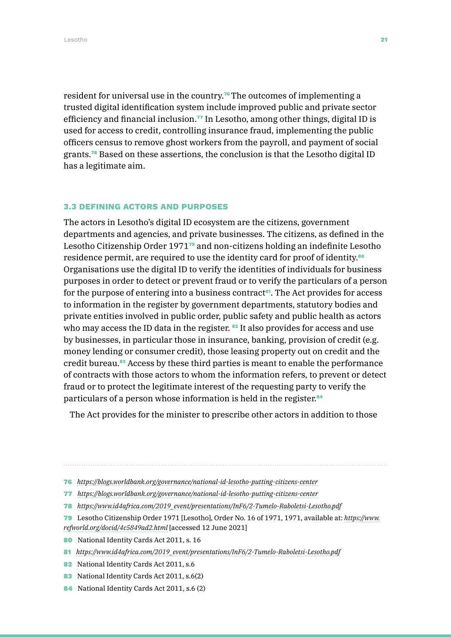resident for universal use in the country.<sup>76</sup>The outcomes of implementing a trusted digital identification system include improved public and private sector efficiency and financial inclusion.77 In Lesotho, among other things, digital ID is used for access to credit, controlling insurance fraud, implementing the public officers census to remove ghost workers from the payroll, and payment of social grants.78 Based on these assertions, the conclusion is that the Lesotho digital ID has a legitimate aim.

### 3.3 DEFINING ACTORS AND PURPOSES

The actors in Lesotho's digital ID ecosystem are the citizens, government departments and agencies, and private businesses. The citizens, as defined in the Lesotho Citizenship Order 1971<sup>7</sup> and non-citizens holding an indefinite Lesotho residence permit, are required to use the identity card for proof of identity.<sup>80</sup> Organisations use the digital ID to verify the identities of individuals for business purposes in order to detect or prevent fraud or to verify the particulars of a person for the purpose of entering into a business contract<sup>81</sup>. The Act provides for access to information in the register by government departments, statutory bodies and private entities involved in public order, public safety and public health as actors who may access the ID data in the register.  $82$  It also provides for access and use by businesses, in particular those in insurance, banking, provision of credit (e.g. money lending or consumer credit), those leasing property out on credit and the credit bureau.83 Access by these third parties is meant to enable the performance of contracts with those actors to whom the information refers, to prevent or detect fraud or to protect the legitimate interest of the requesting party to verify the particulars of a person whose information is held in the register.<sup>84</sup>

The Act provides for the minister to prescribe other actors in addition to those

- 78 *[https://www.id4africa.com/2019\\_event/presentations/InF6/2-Tumelo-Raboletsi-Lesotho.pdf](https://www.id4africa.com/2019_event/presentations/InF6/2-Tumelo-Raboletsi-Lesotho.pdf)*
- 79 Lesotho Citizenship Order 1971 [Lesotho], Order No. 16 of 1971, 1971, available at: *[https://www.](https://www.refworld.org/docid/4c5849ad2.html) [refworld.org/docid/4c5849ad2.html](https://www.refworld.org/docid/4c5849ad2.html)* [accessed 12 June 2021]

80 National Identity Cards Act 2011, s. 16

- 81 *[https://www.id4africa.com/2019\\_event/presentations/InF6/2-Tumelo-Raboletsi-Lesotho.pdf](https://www.id4africa.com/2019_event/presentations/InF6/2-Tumelo-Raboletsi-Lesotho.pdf)*
- 82 National Identity Cards Act 2011, s.6
- 83 National Identity Cards Act 2011, s.6(2)
- 84 National Identity Cards Act 2011, s.6 (2)

<sup>76</sup> *<https://blogs.worldbank.org/governance/national-id-lesotho-putting-citizens-center>*

<sup>77</sup> *<https://blogs.worldbank.org/governance/national-id-lesotho-putting-citizens-center>*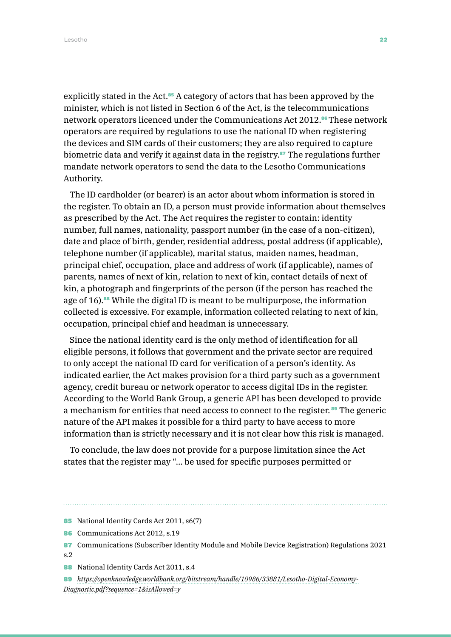Lesotho 22

explicitly stated in the Act.<sup>85</sup> A category of actors that has been approved by the minister, which is not listed in Section 6 of the Act, is the telecommunications network operators licenced under the Communications Act 2012.<sup>86</sup>These network operators are required by regulations to use the national ID when registering the devices and SIM cards of their customers; they are also required to capture biometric data and verify it against data in the registry.87 The regulations further mandate network operators to send the data to the Lesotho Communications Authority.

The ID cardholder (or bearer) is an actor about whom information is stored in the register. To obtain an ID, a person must provide information about themselves as prescribed by the Act. The Act requires the register to contain: identity number, full names, nationality, passport number (in the case of a non-citizen), date and place of birth, gender, residential address, postal address (if applicable), telephone number (if applicable), marital status, maiden names, headman, principal chief, occupation, place and address of work (if applicable), names of parents, names of next of kin, relation to next of kin, contact details of next of kin, a photograph and fingerprints of the person (if the person has reached the age of 16).<sup>88</sup> While the digital ID is meant to be multipurpose, the information collected is excessive. For example, information collected relating to next of kin, occupation, principal chief and headman is unnecessary.

Since the national identity card is the only method of identification for all eligible persons, it follows that government and the private sector are required to only accept the national ID card for verification of a person's identity. As indicated earlier, the Act makes provision for a third party such as a government agency, credit bureau or network operator to access digital IDs in the register. According to the World Bank Group, a generic API has been developed to provide a mechanism for entities that need access to connect to the register. <sup>89</sup> The generic nature of the API makes it possible for a third party to have access to more information than is strictly necessary and it is not clear how this risk is managed.

To conclude, the law does not provide for a purpose limitation since the Act states that the register may "… be used for specific purposes permitted or

<sup>85</sup> National Identity Cards Act 2011, s6(7)

<sup>86</sup> Communications Act 2012, s.19

<sup>87</sup> Communications (Subscriber Identity Module and Mobile Device Registration) Regulations 2021 s.2

<sup>88</sup> National Identity Cards Act 2011, s.4

<sup>89</sup> *[https://openknowledge.worldbank.org/bitstream/handle/10986/33881/Lesotho-Digital-Economy-](https://openknowledge.worldbank.org/bitstream/handle/10986/33881/Lesotho-Digital-Economy-Diagnostic.)[Diagnostic.pdf?sequence=1&isAllowed=y](https://openknowledge.worldbank.org/bitstream/handle/10986/33881/Lesotho-Digital-Economy-Diagnostic.)*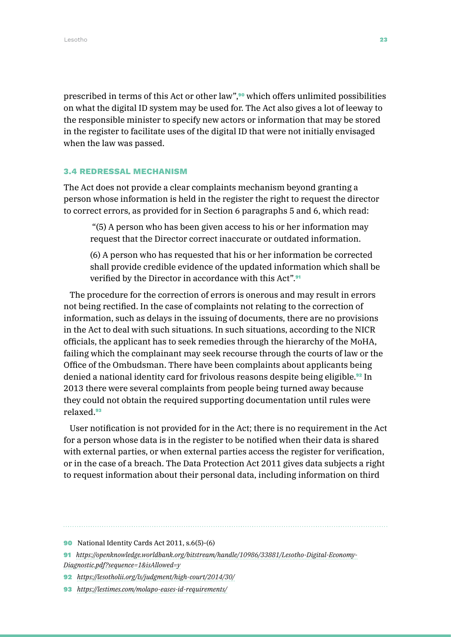prescribed in terms of this Act or other law",90 which offers unlimited possibilities on what the digital ID system may be used for. The Act also gives a lot of leeway to the responsible minister to specify new actors or information that may be stored in the register to facilitate uses of the digital ID that were not initially envisaged when the law was passed.

### 3.4 REDRESSAL MECHANISM

The Act does not provide a clear complaints mechanism beyond granting a person whose information is held in the register the right to request the director to correct errors, as provided for in Section 6 paragraphs 5 and 6, which read:

 "(5) A person who has been given access to his or her information may request that the Director correct inaccurate or outdated information.

(6) A person who has requested that his or her information be corrected shall provide credible evidence of the updated information which shall be verified by the Director in accordance with this Act".<sup>91</sup>

The procedure for the correction of errors is onerous and may result in errors not being rectified. In the case of complaints not relating to the correction of information, such as delays in the issuing of documents, there are no provisions in the Act to deal with such situations. In such situations, according to the NICR officials, the applicant has to seek remedies through the hierarchy of the MoHA, failing which the complainant may seek recourse through the courts of law or the Office of the Ombudsman. There have been complaints about applicants being denied a national identity card for frivolous reasons despite being eligible.<sup>92</sup> In 2013 there were several complaints from people being turned away because they could not obtain the required supporting documentation until rules were relaxed.<sup>93</sup>

User notification is not provided for in the Act; there is no requirement in the Act for a person whose data is in the register to be notified when their data is shared with external parties, or when external parties access the register for verification, or in the case of a breach. The Data Protection Act 2011 gives data subjects a right to request information about their personal data, including information on third

- 92 *<https://lesotholii.org/ls/judgment/high-court/2014/30/>*
- 93 *<https://lestimes.com/molapo-eases-id-requirements/>*

<sup>90</sup> National Identity Cards Act 2011, s.6(5)-(6)

<sup>91</sup> *[https://openknowledge.worldbank.org/bitstream/handle/10986/33881/Lesotho-Digital-Economy-](https://openknowledge.worldbank.org/bitstream/handle/10986/33881/Lesotho-Digital-Economy-Diagnostic.)[Diagnostic.pdf?sequence=1&isAllowed=y](https://openknowledge.worldbank.org/bitstream/handle/10986/33881/Lesotho-Digital-Economy-Diagnostic.)*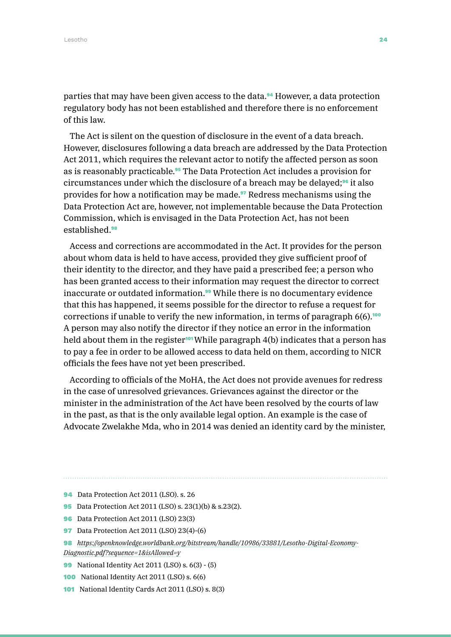parties that may have been given access to the data.<sup>94</sup> However, a data protection regulatory body has not been established and therefore there is no enforcement of this law.

The Act is silent on the question of disclosure in the event of a data breach. However, disclosures following a data breach are addressed by the Data Protection Act 2011, which requires the relevant actor to notify the affected person as soon as is reasonably practicable.95 The Data Protection Act includes a provision for circumstances under which the disclosure of a breach may be delayed;<sup>96</sup> it also provides for how a notification may be made.<sup>97</sup> Redress mechanisms using the Data Protection Act are, however, not implementable because the Data Protection Commission, which is envisaged in the Data Protection Act, has not been established. 98

Access and corrections are accommodated in the Act. It provides for the person about whom data is held to have access, provided they give sufficient proof of their identity to the director, and they have paid a prescribed fee; a person who has been granted access to their information may request the director to correct inaccurate or outdated information.<sup>99</sup> While there is no documentary evidence that this has happened, it seems possible for the director to refuse a request for corrections if unable to verify the new information, in terms of paragraph  $6(6)$ .<sup>100</sup> A person may also notify the director if they notice an error in the information held about them in the register<sup>101</sup> While paragraph  $4(b)$  indicates that a person has to pay a fee in order to be allowed access to data held on them, according to NICR officials the fees have not yet been prescribed.

According to officials of the MoHA, the Act does not provide avenues for redress in the case of unresolved grievances. Grievances against the director or the minister in the administration of the Act have been resolved by the courts of law in the past, as that is the only available legal option. An example is the case of Advocate Zwelakhe Mda, who in 2014 was denied an identity card by the minister,

- 95 Data Protection Act 2011 (LSO) s. 23(1)(b) & s.23(2).
- 96 Data Protection Act 2011 (LSO) 23(3)
- 97 Data Protection Act 2011 (LSO) 23(4)-(6)
- 98 *[https://openknowledge.worldbank.org/bitstream/handle/10986/33881/Lesotho-Digital-Economy-](https://openknowledge.worldbank.org/bitstream/handle/10986/33881/Lesotho-Digital-Economy-Diagnostic.)[Diagnostic.pdf?sequence=1&isAllowed=y](https://openknowledge.worldbank.org/bitstream/handle/10986/33881/Lesotho-Digital-Economy-Diagnostic.)*
- 99 National Identity Act 2011 (LSO) s. 6(3) (5)
- 100 National Identity Act 2011 (LSO) s. 6(6)
- 101 National Identity Cards Act 2011 (LSO) s. 8(3)

<sup>94</sup> Data Protection Act 2011 (LSO). s. 26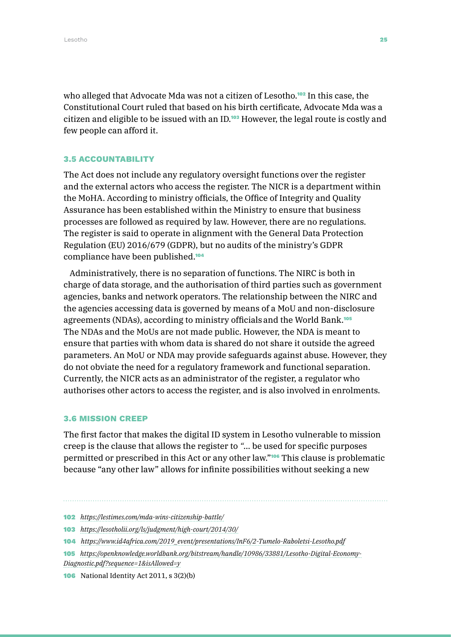who alleged that Advocate Mda was not a citizen of Lesotho.<sup>102</sup> In this case, the Constitutional Court ruled that based on his birth certificate, Advocate Mda was a citizen and eligible to be issued with an ID.<sup>103</sup> However, the legal route is costly and few people can afford it.

#### 3.5 ACCOUNTABILITY

The Act does not include any regulatory oversight functions over the register and the external actors who access the register. The NICR is a department within the MoHA. According to ministry officials, the Office of Integrity and Quality Assurance has been established within the Ministry to ensure that business processes are followed as required by law. However, there are no regulations. The register is said to operate in alignment with the General Data Protection Regulation (EU) 2016/679 (GDPR), but no audits of the ministry's GDPR compliance have been published.<sup>104</sup>

Administratively, there is no separation of functions. The NIRC is both in charge of data storage, and the authorisation of third parties such as government agencies, banks and network operators. The relationship between the NIRC and the agencies accessing data is governed by means of a MoU and non-disclosure agreements (NDAs), according to ministry officialsand the World Bank.<sup>105</sup> The NDAs and the MoUs are not made public. However, the NDA is meant to ensure that parties with whom data is shared do not share it outside the agreed parameters. An MoU or NDA may provide safeguards against abuse. However, they do not obviate the need for a regulatory framework and functional separation. Currently, the NICR acts as an administrator of the register, a regulator who authorises other actors to access the register, and is also involved in enrolments.

### 3.6 MISSION CREEP

The first factor that makes the digital ID system in Lesotho vulnerable to mission creep is the clause that allows the register to *"*… be used for specific purposes permitted or prescribed in this Act or any other law."106 This clause is problematic because "any other law" allows for infinite possibilities without seeking a new

- 102 *<https://lestimes.com/mda-wins-citizenship-battle/>*
- 103 *<https://lesotholii.org/ls/judgment/high-court/2014/30/>*
- 104 *[https://www.id4africa.com/2019\\_event/presentations/InF6/2-Tumelo-Raboletsi-Lesotho.pdf](https://www.id4africa.com/2019_event/presentations/InF6/2-Tumelo-Raboletsi-Lesotho.pdf)*
- 105 *[https://openknowledge.worldbank.org/bitstream/handle/10986/33881/Lesotho-Digital-Economy-](https://openknowledge.worldbank.org/bitstream/handle/10986/33881/Lesotho-Digital-Economy-Diagnostic.)[Diagnostic.pdf?sequence=1&isAllowed=y](https://openknowledge.worldbank.org/bitstream/handle/10986/33881/Lesotho-Digital-Economy-Diagnostic.)*
- 106 National Identity Act 2011, s 3(2)(b)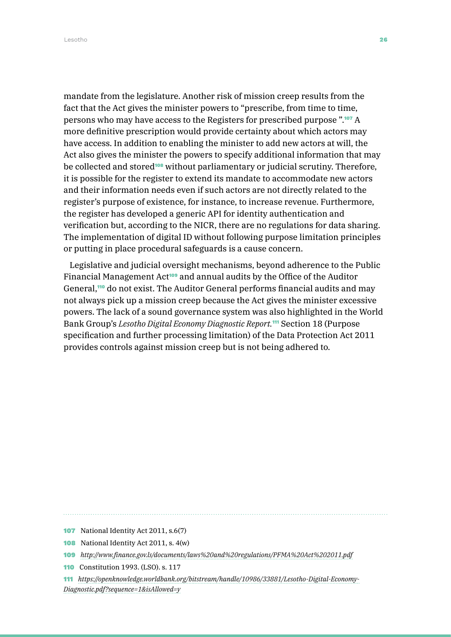mandate from the legislature. Another risk of mission creep results from the fact that the Act gives the minister powers to "prescribe, from time to time, persons who may have access to the Registers for prescribed purpose ".107 A more definitive prescription would provide certainty about which actors may have access. In addition to enabling the minister to add new actors at will, the Act also gives the minister the powers to specify additional information that may be collected and stored<sup>108</sup> without parliamentary or judicial scrutiny. Therefore, it is possible for the register to extend its mandate to accommodate new actors and their information needs even if such actors are not directly related to the register's purpose of existence, for instance, to increase revenue. Furthermore, the register has developed a generic API for identity authentication and verification but, according to the NICR, there are no regulations for data sharing. The implementation of digital ID without following purpose limitation principles or putting in place procedural safeguards is a cause concern.

Legislative and judicial oversight mechanisms, beyond adherence to the Public Financial Management Act<sup>109</sup> and annual audits by the Office of the Auditor General,<sup>110</sup> do not exist. The Auditor General performs financial audits and may not always pick up a mission creep because the Act gives the minister excessive powers. The lack of a sound governance system was also highlighted in the World Bank Group's *Lesotho Digital Economy Diagnostic Report.*111 Section 18 (Purpose specification and further processing limitation) of the Data Protection Act 2011 provides controls against mission creep but is not being adhered to.

107 National Identity Act 2011, s.6(7)

110 Constitution 1993. (LSO). s. 117

111 *[https://openknowledge.worldbank.org/bitstream/handle/10986/33881/Lesotho-Digital-Economy-](https://openknowledge.worldbank.org/bitstream/handle/10986/33881/Lesotho-Digital-Economy-Diagnostic.)[Diagnostic.pdf?sequence=1&isAllowed=y](https://openknowledge.worldbank.org/bitstream/handle/10986/33881/Lesotho-Digital-Economy-Diagnostic.)*

<sup>108</sup> National Identity Act 2011, s. 4(w)

<sup>109</sup> *<http://www.finance.gov.ls/documents/laws%20and%20regulations/PFMA%20Act%202011.pdf>*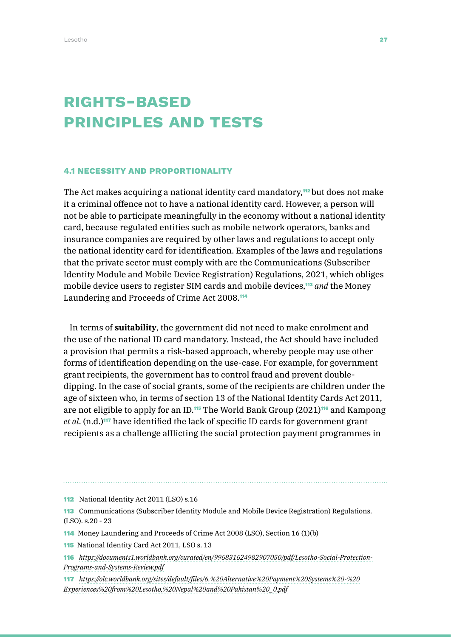### Rights-based PRINCIPLES AND TESTS

### 4.1 NECESSITY AND PROPORTIONALITY

The Act makes acquiring a national identity card mandatory,<sup>112</sup> but does not make it a criminal offence not to have a national identity card. However, a person will not be able to participate meaningfully in the economy without a national identity card, because regulated entities such as mobile network operators, banks and insurance companies are required by other laws and regulations to accept only the national identity card for identification. Examples of the laws and regulations that the private sector must comply with are the Communications (Subscriber Identity Module and Mobile Device Registration) Regulations, 2021, which obliges mobile device users to register SIM cards and mobile devices,<sup>113</sup> and the Money Laundering and Proceeds of Crime Act 2008.<sup>114</sup>

In terms of **suitability**, the government did not need to make enrolment and the use of the national ID card mandatory. Instead, the Act should have included a provision that permits a risk-based approach, whereby people may use other forms of identification depending on the use-case. For example, for government grant recipients, the government has to control fraud and prevent doubledipping. In the case of social grants, some of the recipients are children under the age of sixteen who, in terms of section 13 of the National Identity Cards Act 2011, are not eligible to apply for an ID.<sup>115</sup> The World Bank Group (2021)<sup>116</sup> and Kampong *et al*. (n.d.)117 have identified the lack of specific ID cards for government grant recipients as a challenge afflicting the social protection payment programmes in

112 National Identity Act 2011 (LSO) s.16

113 Communications (Subscriber Identity Module and Mobile Device Registration) Regulations. (LSO). s.20 - 23

114 Money Laundering and Proceeds of Crime Act 2008 (LSO), Section 16 (1)(b)

115 National Identity Card Act 2011, LSO s. 13

116 *[https://documents1.worldbank.org/curated/en/996831624982907050/pdf/Lesotho-Social-Protection-](https://documents1.worldbank.org/curated/en/996831624982907050/pdf/Lesotho-Social-Protection-Program)[Programs-and-Systems-Review.pdf](https://documents1.worldbank.org/curated/en/996831624982907050/pdf/Lesotho-Social-Protection-Program)*

117 *[https://olc.worldbank.org/sites/default/files/6.%20Alternative%20Payment%20Systems%20-%20](https://olc.worldbank.org/sites/default/files/6.%20Alternative%20Payment%20Systems%20-%20Experiences) [Experiences%20from%20Lesotho,%20Nepal%20and%20Pakistan%20\\_0.pdf](https://olc.worldbank.org/sites/default/files/6.%20Alternative%20Payment%20Systems%20-%20Experiences)*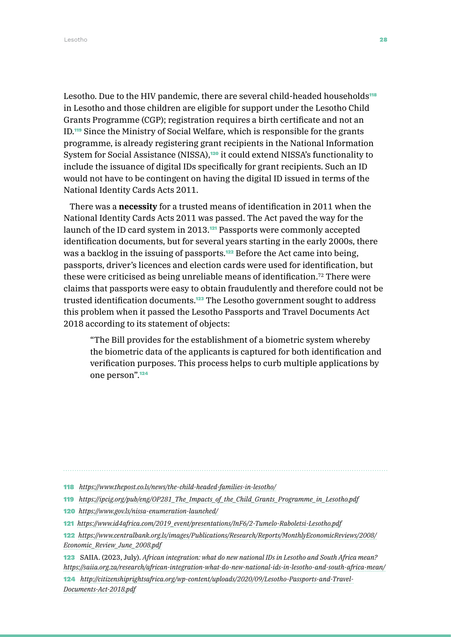Lesotho. Due to the HIV pandemic, there are several child-headed households<sup>118</sup> in Lesotho and those children are eligible for support under the Lesotho Child Grants Programme (CGP); registration requires a birth certificate and not an ID.119 Since the Ministry of Social Welfare, which is responsible for the grants programme, is already registering grant recipients in the National Information System for Social Assistance (NISSA),<sup>120</sup> it could extend NISSA's functionality to include the issuance of digital IDs specifically for grant recipients. Such an ID would not have to be contingent on having the digital ID issued in terms of the National Identity Cards Acts 2011.

There was a **necessity** for a trusted means of identification in 2011 when the National Identity Cards Acts 2011 was passed. The Act paved the way for the launch of the ID card system in 2013.<sup>121</sup> Passports were commonly accepted identification documents, but for several years starting in the early 2000s, there was a backlog in the issuing of passports.<sup>122</sup> Before the Act came into being, passports, driver's licences and election cards were used for identification, but these were criticised as being unreliable means of identification.72 There were claims that passports were easy to obtain fraudulently and therefore could not be trusted identification documents.123 The Lesotho government sought to address this problem when it passed the Lesotho Passports and Travel Documents Act 2018 according to its statement of objects:

"The Bill provides for the establishment of a biometric system whereby the biometric data of the applicants is captured for both identification and verification purposes. This process helps to curb multiple applications by one person".<sup>124</sup>

- 118 *<https://www.thepost.co.ls/news/the-child-headed-families-in-lesotho/>*
- 119 *[https://ipcig.org/pub/eng/OP281\\_The\\_Impacts\\_of\\_the\\_Child\\_Grants\\_Programme\\_in\\_Lesotho.pdf](https://ipcig.org/pub/eng/OP281_The_Impacts_of_the_Child_Grants_Programme_in_Lesotho.pdf)*
- 120 *<https://www.gov.ls/nissa-enumeration-launched/>*
- 121 *[https://www.id4africa.com/2019\\_event/presentations/InF6/2-Tumelo-Raboletsi-Lesotho.pdf](https://www.id4africa.com/2019_event/presentations/InF6/2-Tumelo-Raboletsi-Lesotho.pdf)*
- 122 *[https://www.centralbank.org.ls/images/Publications/Research/Reports/MonthlyEconomicReviews/2008/](https://www.centralbank.org.ls/images/Publications/Research/Reports/MonthlyEconomicReviews/2008/Econ) [Economic\\_Review\\_June\\_2008.pdf](https://www.centralbank.org.ls/images/Publications/Research/Reports/MonthlyEconomicReviews/2008/Econ)*
- 123 SAIIA. (2023, July). *African integration: what do new national IDs in Lesotho and South Africa mean? [https://saiia.org.za/research/african-integration-what-do-new-national-ids-in-lesotho-and-south-africa-mean/](https://saiia.org.za/research/african-integration-what-do-new-national-ids-in-lesotho-and-south-afri)*

124 *[http://citizenshiprightsafrica.org/wp-content/uploads/2020/09/Lesotho-Passports-and-Travel-](http://citizenshiprightsafrica.org/wp-content/uploads/2020/09/Lesotho-Passports-and-Travel-Documents-Act-2018.pdf)[Documents-Act-2018.pdf](http://citizenshiprightsafrica.org/wp-content/uploads/2020/09/Lesotho-Passports-and-Travel-Documents-Act-2018.pdf)*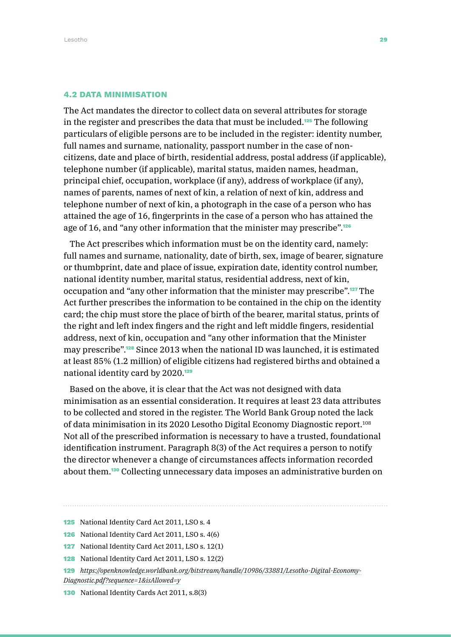### 4.2 DATA MINIMISATION

The Act mandates the director to collect data on several attributes for storage in the register and prescribes the data that must be included.125 The following particulars of eligible persons are to be included in the register: identity number, full names and surname, nationality, passport number in the case of noncitizens, date and place of birth, residential address, postal address (if applicable), telephone number (if applicable), marital status, maiden names, headman, principal chief, occupation, workplace (if any), address of workplace (if any), names of parents, names of next of kin, a relation of next of kin, address and telephone number of next of kin, a photograph in the case of a person who has attained the age of 16, fingerprints in the case of a person who has attained the age of 16, and "any other information that the minister may prescribe".<sup>126</sup>

The Act prescribes which information must be on the identity card, namely: full names and surname, nationality, date of birth, sex, image of bearer, signature or thumbprint, date and place of issue, expiration date, identity control number, national identity number, marital status, residential address, next of kin, occupation and "any other information that the minister may prescribe".127The Act further prescribes the information to be contained in the chip on the identity card; the chip must store the place of birth of the bearer, marital status, prints of the right and left index fingers and the right and left middle fingers, residential address, next of kin, occupation and "any other information that the Minister may prescribe".128 Since 2013 when the national ID was launched, it is estimated at least 85% (1.2 million) of eligible citizens had registered births and obtained a national identity card by 2020.<sup>129</sup>

Based on the above, it is clear that the Act was not designed with data minimisation as an essential consideration. It requires at least 23 data attributes to be collected and stored in the register. The World Bank Group noted the lack of data minimisation in its 2020 Lesotho Digital Economy Diagnostic report.108 Not all of the prescribed information is necessary to have a trusted, foundational identification instrument. Paragraph 8(3) of the Act requires a person to notify the director whenever a change of circumstances affects information recorded about them.130 Collecting unnecessary data imposes an administrative burden on

- 
- 125 National Identity Card Act 2011, LSO s. 4 126 National Identity Card Act 2011, LSO s. 4(6)
- 127 National Identity Card Act 2011, LSO s. 12(1)
- 128 National Identity Card Act 2011, LSO s. 12(2)
- 129 *[https://openknowledge.worldbank.org/bitstream/handle/10986/33881/Lesotho-Digital-Economy-](https://openknowledge.worldbank.org/bitstream/handle/10986/33881/Lesotho-Digital-Economy-Diagnostic.)[Diagnostic.pdf?sequence=1&isAllowed=y](https://openknowledge.worldbank.org/bitstream/handle/10986/33881/Lesotho-Digital-Economy-Diagnostic.)*
- 130 National Identity Cards Act 2011, s.8(3)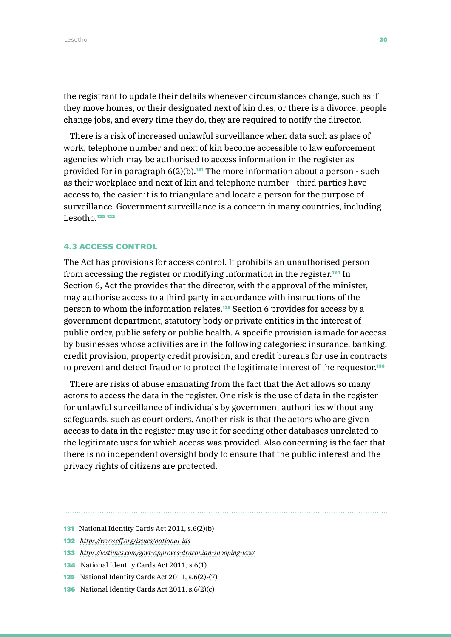the registrant to update their details whenever circumstances change, such as if they move homes, or their designated next of kin dies, or there is a divorce; people change jobs, and every time they do, they are required to notify the director.

There is a risk of increased unlawful surveillance when data such as place of work, telephone number and next of kin become accessible to law enforcement agencies which may be authorised to access information in the register as provided for in paragraph  $6(2)(b)$ .<sup>131</sup> The more information about a person - such as their workplace and next of kin and telephone number - third parties have access to, the easier it is to triangulate and locate a person for the purpose of surveillance. Government surveillance is a concern in many countries, including Lesotho.<sup>132</sup> <sup>133</sup>

#### 4.3 ACCESS CONTROL

The Act has provisions for access control. It prohibits an unauthorised person from accessing the register or modifying information in the register.134 In Section 6, Act the provides that the director, with the approval of the minister, may authorise access to a third party in accordance with instructions of the person to whom the information relates.135 Section 6 provides for access by a government department, statutory body or private entities in the interest of public order, public safety or public health. A specific provision is made for access by businesses whose activities are in the following categories: insurance, banking, credit provision, property credit provision, and credit bureaus for use in contracts to prevent and detect fraud or to protect the legitimate interest of the requestor.<sup>136</sup>

There are risks of abuse emanating from the fact that the Act allows so many actors to access the data in the register. One risk is the use of data in the register for unlawful surveillance of individuals by government authorities without any safeguards, such as court orders. Another risk is that the actors who are given access to data in the register may use it for seeding other databases unrelated to the legitimate uses for which access was provided. Also concerning is the fact that there is no independent oversight body to ensure that the public interest and the privacy rights of citizens are protected.

- 131 National Identity Cards Act 2011, s.6(2)(b)
- 132 *<https://www.eff.org/issues/national-ids>*
- 133 *<https://lestimes.com/govt-approves-draconian-snooping-law/>*
- 134 National Identity Cards Act 2011, s.6(1)
- 135 National Identity Cards Act 2011, s.6(2)-(7)
- 136 National Identity Cards Act 2011, s.6(2)(c)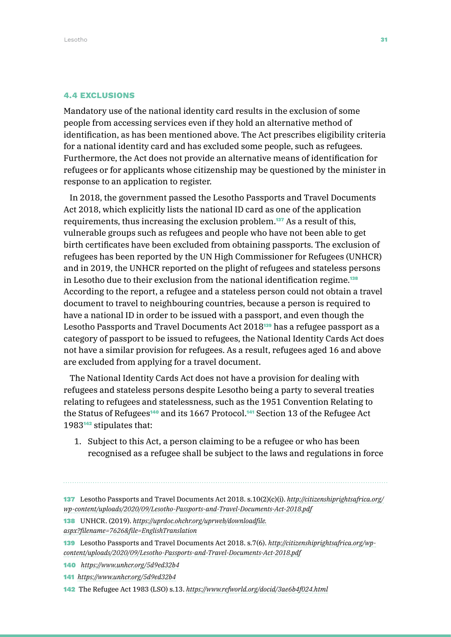#### 4.4 EXCLUSIONS

Mandatory use of the national identity card results in the exclusion of some people from accessing services even if they hold an alternative method of identification, as has been mentioned above. The Act prescribes eligibility criteria for a national identity card and has excluded some people, such as refugees. Furthermore, the Act does not provide an alternative means of identification for refugees or for applicants whose citizenship may be questioned by the minister in response to an application to register.

In 2018, the government passed the Lesotho Passports and Travel Documents Act 2018, which explicitly lists the national ID card as one of the application requirements, thus increasing the exclusion problem.137 As a result of this, vulnerable groups such as refugees and people who have not been able to get birth certificates have been excluded from obtaining passports. The exclusion of refugees has been reported by the UN High Commissioner for Refugees (UNHCR) and in 2019, the UNHCR reported on the plight of refugees and stateless persons in Lesotho due to their exclusion from the national identification regime.<sup>138</sup> According to the report, a refugee and a stateless person could not obtain a travel document to travel to neighbouring countries, because a person is required to have a national ID in order to be issued with a passport, and even though the Lesotho Passports and Travel Documents Act 2018139 has a refugee passport as a category of passport to be issued to refugees, the National Identity Cards Act does not have a similar provision for refugees. As a result, refugees aged 16 and above are excluded from applying for a travel document.

The National Identity Cards Act does not have a provision for dealing with refugees and stateless persons despite Lesotho being a party to several treaties relating to refugees and statelessness, such as the 1951 Convention Relating to the Status of Refugees<sup>140</sup> and its 1667 Protocol.<sup>141</sup> Section 13 of the Refugee Act 1983142 stipulates that:

- 1. Subject to this Act, a person claiming to be a refugee or who has been recognised as a refugee shall be subject to the laws and regulations in force
- 137 Lesotho Passports and Travel Documents Act 2018. s.10(2)(c)(i). *[http://citizenshiprightsafrica.org/](http://citizenshiprightsafrica.org/wp-content/uploads/2020/09/Lesotho-Passports-and-Travel-Documents-Act-2018.pdf) [wp-content/uploads/2020/09/Lesotho-Passports-and-Travel-Documents-Act-2018.pdf](http://citizenshiprightsafrica.org/wp-content/uploads/2020/09/Lesotho-Passports-and-Travel-Documents-Act-2018.pdf)*
- 138 UNHCR. (2019). *[https://uprdoc.ohchr.org/uprweb/downloadfile.](https://uprdoc.ohchr.org/uprweb/downloadfile.aspx?filename=7626&file=EnglishTranslation) [aspx?filename=7626&file=EnglishTranslation](https://uprdoc.ohchr.org/uprweb/downloadfile.aspx?filename=7626&file=EnglishTranslation)*
- 139 Lesotho Passports and Travel Documents Act 2018. s.7(6). *[http://citizenshiprightsafrica.org/wp](http://citizenshiprightsafrica.org/wp-content/uploads/2020/09/Lesotho-Passports-and-Travel-Documents-Act-2018.pdf)[content/uploads/2020/09/Lesotho-Passports-and-Travel-Documents-Act-2018.pdf](http://citizenshiprightsafrica.org/wp-content/uploads/2020/09/Lesotho-Passports-and-Travel-Documents-Act-2018.pdf)*
- 140 *<https://www.unhcr.org/5d9ed32b4>*
- 141 *<https://www.unhcr.org/5d9ed32b4>*
- 142 The Refugee Act 1983 (LSO) s.13. *<https://www.refworld.org/docid/3ae6b4f024.html>*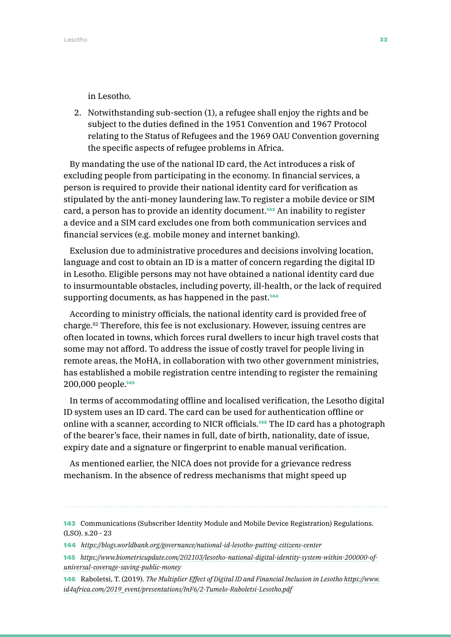in Lesotho.

2. Notwithstanding sub-section (1), a refugee shall enjoy the rights and be subject to the duties defined in the 1951 Convention and 1967 Protocol relating to the Status of Refugees and the 1969 OAU Convention governing the specific aspects of refugee problems in Africa.

By mandating the use of the national ID card, the Act introduces a risk of excluding people from participating in the economy. In financial services, a person is required to provide their national identity card for verification as stipulated by the anti-money laundering law.To register a mobile device or SIM card, a person has to provide an identity document.<sup>143</sup> An inability to register a device and a SIM card excludes one from both communication services and financial services (e.g. mobile money and internet banking).

Exclusion due to administrative procedures and decisions involving location, language and cost to obtain an ID is a matter of concern regarding the digital ID in Lesotho. Eligible persons may not have obtained a national identity card due to insurmountable obstacles, including poverty, ill-health, or the lack of required supporting documents, as has happened in the past.<sup>144</sup>

According to ministry officials, the national identity card is provided free of charge.82 Therefore, this fee is not exclusionary. However, issuing centres are often located in towns, which forces rural dwellers to incur high travel costs that some may not afford. To address the issue of costly travel for people living in remote areas, the MoHA, in collaboration with two other government ministries, has established a mobile registration centre intending to register the remaining 200,000 people.<sup>145</sup>

In terms of accommodating offline and localised verification, the Lesotho digital ID system uses an ID card. The card can be used for authentication offline or online with a scanner, according to NICR officials.146 The ID card has a photograph of the bearer's face, their names in full, date of birth, nationality, date of issue, expiry date and a signature or fingerprint to enable manual verification.

As mentioned earlier, the NICA does not provide for a grievance redress mechanism. In the absence of redress mechanisms that might speed up

- 144 *<https://blogs.worldbank.org/governance/national-id-lesotho-putting-citizens-center>*
- 145 *[https://www.biometricupdate.com/202103/lesotho-national-digital-identity-system-within-200000-of](https://www.biometricupdate.com/202103/lesotho-national-digital-identity-system-within-200000-of-uni)[universal-coverage-saving-public-money](https://www.biometricupdate.com/202103/lesotho-national-digital-identity-system-within-200000-of-uni)*
- 146 Raboletsi, T. (2019). *The Multiplier Effect of Digital ID and Financial Inclusion in Lesotho [https://www.](https://www.id4africa.com/2019_event/presentations/InF6/2-Tumelo-Raboletsi-Lesotho.pdf) [id4africa.com/2019\\_event/presentations/InF6/2-Tumelo-Raboletsi-Lesotho.pdf](https://www.id4africa.com/2019_event/presentations/InF6/2-Tumelo-Raboletsi-Lesotho.pdf)*

<sup>143</sup> Communications (Subscriber Identity Module and Mobile Device Registration) Regulations. (LSO). s.20 - 23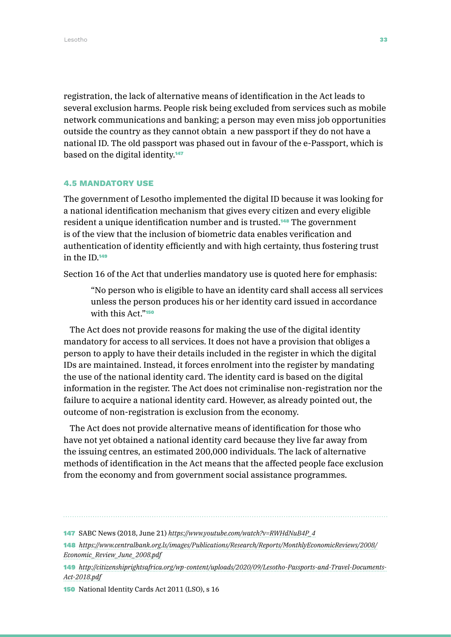registration, the lack of alternative means of identification in the Act leads to several exclusion harms. People risk being excluded from services such as mobile network communications and banking; a person may even miss job opportunities outside the country as they cannot obtain a new passport if they do not have a national ID. The old passport was phased out in favour of the e-Passport, which is based on the digital identity.<sup>147</sup>

### 4.5 MANDATORY USE

The government of Lesotho implemented the digital ID because it was looking for a national identification mechanism that gives every citizen and every eligible resident a unique identification number and is trusted.148 The government is of the view that the inclusion of biometric data enables verification and authentication of identity efficiently and with high certainty, thus fostering trust in the ID<sup>149</sup>

Section 16 of the Act that underlies mandatory use is quoted here for emphasis:

"No person who is eligible to have an identity card shall access all services unless the person produces his or her identity card issued in accordance with this Act."<sup>150</sup>

The Act does not provide reasons for making the use of the digital identity mandatory for access to all services. It does not have a provision that obliges a person to apply to have their details included in the register in which the digital IDs are maintained. Instead, it forces enrolment into the register by mandating the use of the national identity card. The identity card is based on the digital information in the register. The Act does not criminalise non-registration nor the failure to acquire a national identity card. However, as already pointed out, the outcome of non-registration is exclusion from the economy.

The Act does not provide alternative means of identification for those who have not yet obtained a national identity card because they live far away from the issuing centres, an estimated 200,000 individuals. The lack of alternative methods of identification in the Act means that the affected people face exclusion from the economy and from government social assistance programmes.

150 National Identity Cards Act 2011 (LSO), s 16

<sup>147</sup> SABC News (2018, June 21) *[https://www.youtube.com/watch?v=RWHdNuB4P\\_4](https://www.youtube.com/watch?v=RWHdNuB4P_4)*

<sup>148</sup> *[https://www.centralbank.org.ls/images/Publications/Research/Reports/MonthlyEconomicReviews/2008/](https://www.centralbank.org.ls/images/Publications/Research/Reports/MonthlyEconomicReviews/2008/Econ) [Economic\\_Review\\_June\\_2008.pdf](https://www.centralbank.org.ls/images/Publications/Research/Reports/MonthlyEconomicReviews/2008/Econ)*

<sup>149</sup> *[http://citizenshiprightsafrica.org/wp-content/uploads/2020/09/Lesotho-Passports-and-Travel-Documents-](http://citizenshiprightsafrica.org/wp-content/uploads/2020/09/Lesotho-Passports-and-Travel-Documents-Act-2018.pdf)[Act-2018.pdf](http://citizenshiprightsafrica.org/wp-content/uploads/2020/09/Lesotho-Passports-and-Travel-Documents-Act-2018.pdf)*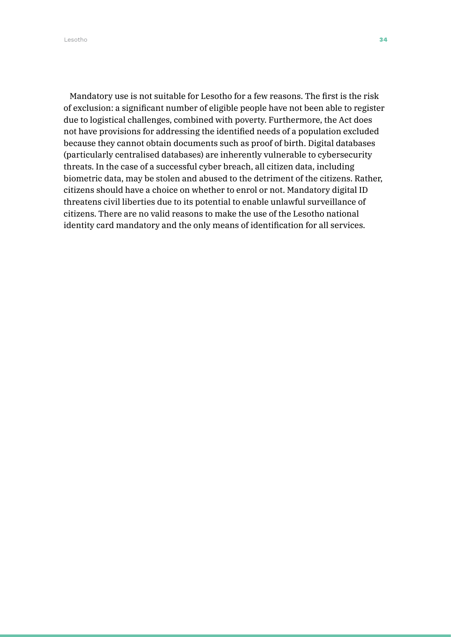Lesotho 34

Mandatory use is not suitable for Lesotho for a few reasons. The first is the risk of exclusion: a significant number of eligible people have not been able to register due to logistical challenges, combined with poverty. Furthermore, the Act does not have provisions for addressing the identified needs of a population excluded because they cannot obtain documents such as proof of birth. Digital databases (particularly centralised databases) are inherently vulnerable to cybersecurity threats. In the case of a successful cyber breach, all citizen data, including biometric data, may be stolen and abused to the detriment of the citizens. Rather, citizens should have a choice on whether to enrol or not. Mandatory digital ID threatens civil liberties due to its potential to enable unlawful surveillance of citizens. There are no valid reasons to make the use of the Lesotho national identity card mandatory and the only means of identification for all services.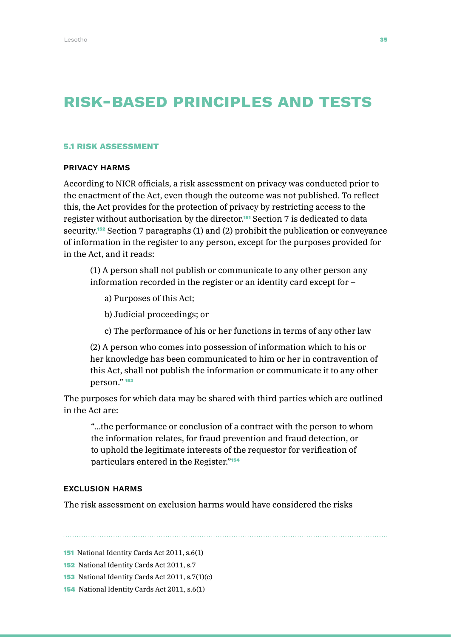### RISK-based PRINCIPLES AND tests

#### 5.1 RISK ASSESSMENT

### PRIVACY HARMS

According to NICR officials, a risk assessment on privacy was conducted prior to the enactment of the Act, even though the outcome was not published. To reflect this, the Act provides for the protection of privacy by restricting access to the register without authorisation by the director.151 Section 7 is dedicated to data security.152 Section 7 paragraphs (1) and (2) prohibit the publication or conveyance of information in the register to any person, except for the purposes provided for in the Act, and it reads:

(1) A person shall not publish or communicate to any other person any information recorded in the register or an identity card except for –

- a) Purposes of this Act;
- b) Judicial proceedings; or
- c) The performance of his or her functions in terms of any other law

(2) A person who comes into possession of information which to his or her knowledge has been communicated to him or her in contravention of this Act, shall not publish the information or communicate it to any other person." <sup>153</sup>

The purposes for which data may be shared with third parties which are outlined in the Act are:

"…the performance or conclusion of a contract with the person to whom the information relates, for fraud prevention and fraud detection, or to uphold the legitimate interests of the requestor for verification of particulars entered in the Register."<sup>154</sup>

### EXCLUSION HARMS

The risk assessment on exclusion harms would have considered the risks

151 National Identity Cards Act 2011, s.6(1)

- 152 National Identity Cards Act 2011, s.7
- 153 National Identity Cards Act 2011, s.7(1)(c)
- 154 National Identity Cards Act 2011, s.6(1)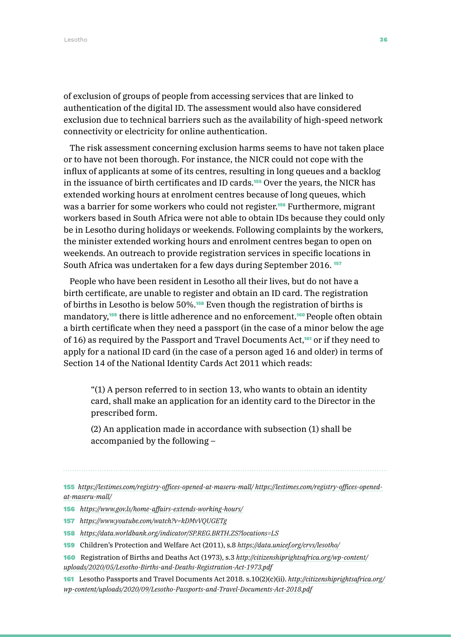of exclusion of groups of people from accessing services that are linked to authentication of the digital ID. The assessment would also have considered exclusion due to technical barriers such as the availability of high-speed network connectivity or electricity for online authentication.

The risk assessment concerning exclusion harms seems to have not taken place or to have not been thorough. For instance, the NICR could not cope with the influx of applicants at some of its centres, resulting in long queues and a backlog in the issuance of birth certificates and ID cards.<sup>155</sup> Over the years, the NICR has extended working hours at enrolment centres because of long queues, which was a barrier for some workers who could not register.<sup>156</sup> Furthermore, migrant workers based in South Africa were not able to obtain IDs because they could only be in Lesotho during holidays or weekends. Following complaints by the workers, the minister extended working hours and enrolment centres began to open on weekends. An outreach to provide registration services in specific locations in South Africa was undertaken for a few days during September 2016. <sup>157</sup>

People who have been resident in Lesotho all their lives, but do not have a birth certificate, are unable to register and obtain an ID card. The registration of births in Lesotho is below 50%.158 Even though the registration of births is mandatory,<sup>159</sup> there is little adherence and no enforcement.<sup>160</sup> People often obtain a birth certificate when they need a passport (in the case of a minor below the age of 16) as required by the Passport and Travel Documents Act,<sup>161</sup> or if they need to apply for a national ID card (in the case of a person aged 16 and older) in terms of Section 14 of the National Identity Cards Act 2011 which reads:

"(1) A person referred to in section 13, who wants to obtain an identity card, shall make an application for an identity card to the Director in the prescribed form.

(2) An application made in accordance with subsection (1) shall be accompanied by the following –

155 *[https://lestimes.com/registry-offices-opened-at-maseru-mall/ https://lestimes.com/registry-offices-opened](https://lestimes.com/registry-offices-opened-at-maseru-mall/ https://lestimes.com/registry-offices-o)[at-maseru-mall/](https://lestimes.com/registry-offices-opened-at-maseru-mall/ https://lestimes.com/registry-offices-o)*

- 156 *<https://www.gov.ls/home-affairs-extends-working-hours/>*
- 157 *<https://www.youtube.com/watch?v=kDMvVQUGETg>*
- 158 *<https://data.worldbank.org/indicator/SP.REG.BRTH.ZS?locations=LS>*
- 159 Children's Protection and Welfare Act (2011), s.8 *<https://data.unicef.org/crvs/lesotho/>*
- 160 Registration of Births and Deaths Act (1973), s.3 *[http://citizenshiprightsafrica.org/wp-content/](http://citizenshiprightsafrica.org/wp-content/uploads/2020/05/Lesotho-Births-and-Deaths-Registration-Act-1973.pdf) [uploads/2020/05/Lesotho-Births-and-Deaths-Registration-Act-1973.pdf](http://citizenshiprightsafrica.org/wp-content/uploads/2020/05/Lesotho-Births-and-Deaths-Registration-Act-1973.pdf)*
- 161 Lesotho Passports and Travel Documents Act 2018. s.10(2)(c)(ii). *[http://citizenshiprightsafrica.org/](http://citizenshiprightsafrica.org/wp-content/uploads/2020/09/Lesotho-Passports-and-Travel-Documents-Act-2018.pdf) [wp-content/uploads/2020/09/Lesotho-Passports-and-Travel-Documents-Act-2018.pdf](http://citizenshiprightsafrica.org/wp-content/uploads/2020/09/Lesotho-Passports-and-Travel-Documents-Act-2018.pdf)*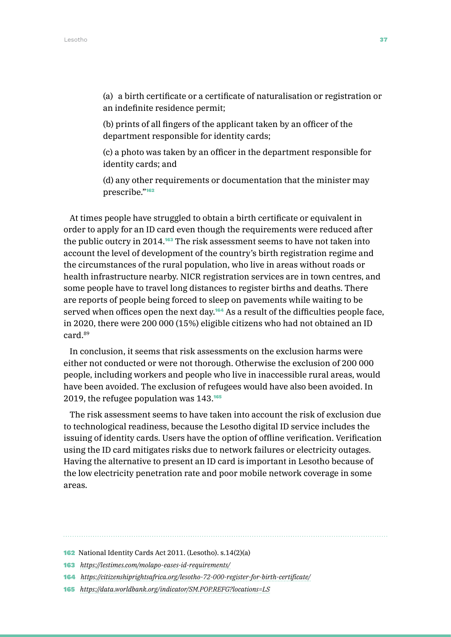(a) a birth certificate or a certificate of naturalisation or registration or an indefinite residence permit;

(b) prints of all fingers of the applicant taken by an officer of the department responsible for identity cards;

(c) a photo was taken by an officer in the department responsible for identity cards; and

(d) any other requirements or documentation that the minister may prescribe."<sup>162</sup>

At times people have struggled to obtain a birth certificate or equivalent in order to apply for an ID card even though the requirements were reduced after the public outcry in 2014.163 The risk assessment seems to have not taken into account the level of development of the country's birth registration regime and the circumstances of the rural population, who live in areas without roads or health infrastructure nearby. NICR registration services are in town centres, and some people have to travel long distances to register births and deaths. There are reports of people being forced to sleep on pavements while waiting to be served when offices open the next day.<sup>164</sup> As a result of the difficulties people face, in 2020, there were 200 000 (15%) eligible citizens who had not obtained an ID card.89

In conclusion, it seems that risk assessments on the exclusion harms were either not conducted or were not thorough. Otherwise the exclusion of 200 000 people, including workers and people who live in inaccessible rural areas, would have been avoided. The exclusion of refugees would have also been avoided. In 2019, the refugee population was 143.<sup>165</sup>

The risk assessment seems to have taken into account the risk of exclusion due to technological readiness, because the Lesotho digital ID service includes the issuing of identity cards. Users have the option of offline verification. Verification using the ID card mitigates risks due to network failures or electricity outages. Having the alternative to present an ID card is important in Lesotho because of the low electricity penetration rate and poor mobile network coverage in some areas.

<sup>162</sup> National Identity Cards Act 2011. (Lesotho). s.14(2)(a)

<sup>163</sup> *<https://lestimes.com/molapo-eases-id-requirements/>*

<sup>164</sup> *<https://citizenshiprightsafrica.org/lesotho-72-000-register-for-birth-certificate/>*

<sup>165</sup> *<https://data.worldbank.org/indicator/SM.POP.REFG?locations=LS>*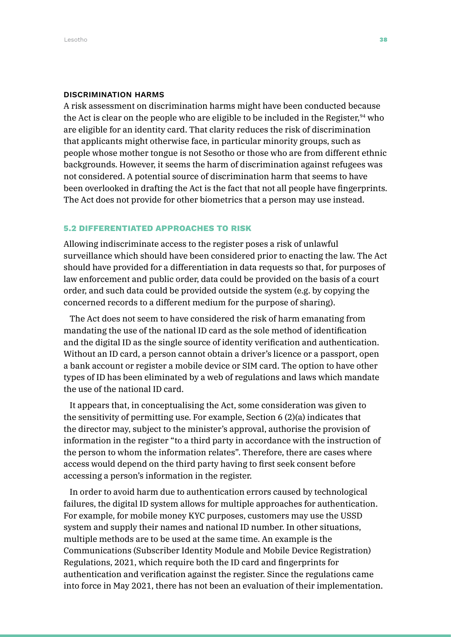### DISCRIMINATION HARMS

A risk assessment on discrimination harms might have been conducted because the Act is clear on the people who are eligible to be included in the Register, $94$  who are eligible for an identity card. That clarity reduces the risk of discrimination that applicants might otherwise face, in particular minority groups, such as people whose mother tongue is not Sesotho or those who are from different ethnic backgrounds. However, it seems the harm of discrimination against refugees was not considered. A potential source of discrimination harm that seems to have been overlooked in drafting the Act is the fact that not all people have fingerprints. The Act does not provide for other biometrics that a person may use instead.

### 5.2 DIFFERENTIATED APPROACHES TO RISK

Allowing indiscriminate access to the register poses a risk of unlawful surveillance which should have been considered prior to enacting the law. The Act should have provided for a differentiation in data requests so that, for purposes of law enforcement and public order, data could be provided on the basis of a court order, and such data could be provided outside the system (e.g. by copying the concerned records to a different medium for the purpose of sharing).

The Act does not seem to have considered the risk of harm emanating from mandating the use of the national ID card as the sole method of identification and the digital ID as the single source of identity verification and authentication. Without an ID card, a person cannot obtain a driver's licence or a passport, open a bank account or register a mobile device or SIM card. The option to have other types of ID has been eliminated by a web of regulations and laws which mandate the use of the national ID card.

It appears that, in conceptualising the Act, some consideration was given to the sensitivity of permitting use. For example, Section 6 (2)(a) indicates that the director may, subject to the minister's approval, authorise the provision of information in the register "to a third party in accordance with the instruction of the person to whom the information relates". Therefore, there are cases where access would depend on the third party having to first seek consent before accessing a person's information in the register.

In order to avoid harm due to authentication errors caused by technological failures, the digital ID system allows for multiple approaches for authentication. For example, for mobile money KYC purposes, customers may use the USSD system and supply their names and national ID number. In other situations, multiple methods are to be used at the same time. An example is the Communications (Subscriber Identity Module and Mobile Device Registration) Regulations, 2021, which require both the ID card and fingerprints for authentication and verification against the register. Since the regulations came into force in May 2021, there has not been an evaluation of their implementation.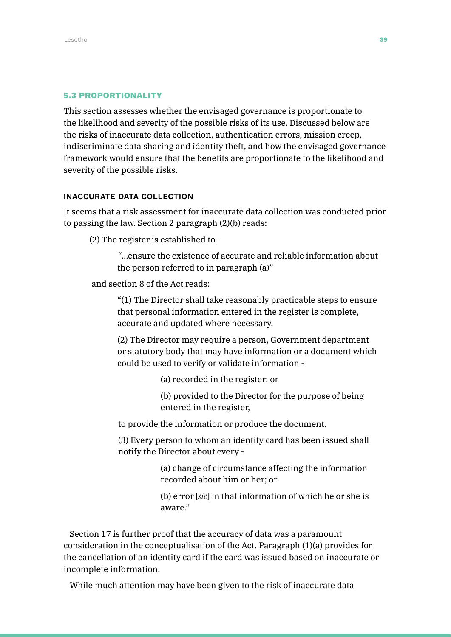### 5.3 PROPORTIONALITY

This section assesses whether the envisaged governance is proportionate to the likelihood and severity of the possible risks of its use. Discussed below are the risks of inaccurate data collection, authentication errors, mission creep, indiscriminate data sharing and identity theft, and how the envisaged governance framework would ensure that the benefits are proportionate to the likelihood and severity of the possible risks.

### INACCURATE DATA COLLECTION

It seems that a risk assessment for inaccurate data collection was conducted prior to passing the law. Section 2 paragraph (2)(b) reads:

(2) The register is established to -

"…ensure the existence of accurate and reliable information about the person referred to in paragraph (a)"

and section 8 of the Act reads:

"(1) The Director shall take reasonably practicable steps to ensure that personal information entered in the register is complete, accurate and updated where necessary.

(2) The Director may require a person, Government department or statutory body that may have information or a document which could be used to verify or validate information -

(a) recorded in the register; or

(b) provided to the Director for the purpose of being entered in the register,

to provide the information or produce the document.

(3) Every person to whom an identity card has been issued shall notify the Director about every -

> (a) change of circumstance affecting the information recorded about him or her; or

> (b) error [*sic*] in that information of which he or she is aware."

Section 17 is further proof that the accuracy of data was a paramount consideration in the conceptualisation of the Act. Paragraph (1)(a) provides for the cancellation of an identity card if the card was issued based on inaccurate or incomplete information.

While much attention may have been given to the risk of inaccurate data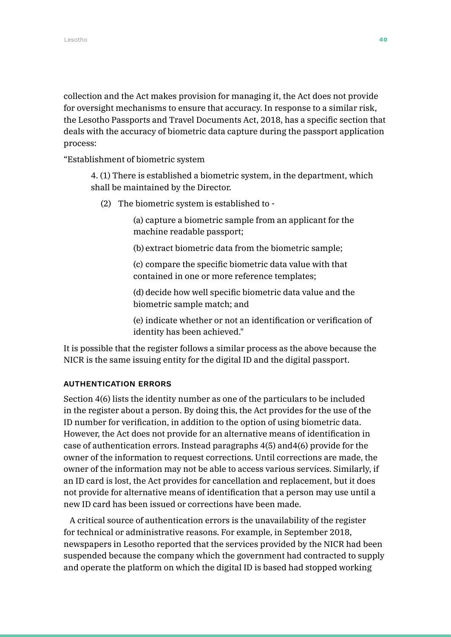collection and the Act makes provision for managing it, the Act does not provide for oversight mechanisms to ensure that accuracy. In response to a similar risk, the Lesotho Passports and Travel Documents Act, 2018, has a specific section that deals with the accuracy of biometric data capture during the passport application process:

"Establishment of biometric system

4. (1) There is established a biometric system, in the department, which shall be maintained by the Director.

(2) The biometric system is established to -

(a) capture a biometric sample from an applicant for the machine readable passport;

(b) extract biometric data from the biometric sample;

(c) compare the specific biometric data value with that contained in one or more reference templates;

(d) decide how well specific biometric data value and the biometric sample match; and

(e) indicate whether or not an identification or verification of identity has been achieved."

It is possible that the register follows a similar process as the above because the NICR is the same issuing entity for the digital ID and the digital passport.

### AUTHENTICATION ERRORS

Section 4(6) lists the identity number as one of the particulars to be included in the register about a person. By doing this, the Act provides for the use of the ID number for verification, in addition to the option of using biometric data. However, the Act does not provide for an alternative means of identification in case of authentication errors. Instead paragraphs 4(5) and4(6) provide for the owner of the information to request corrections. Until corrections are made, the owner of the information may not be able to access various services. Similarly, if an ID card is lost, the Act provides for cancellation and replacement, but it does not provide for alternative means of identification that a person may use until a new ID card has been issued or corrections have been made.

A critical source of authentication errors is the unavailability of the register for technical or administrative reasons. For example, in September 2018, newspapers in Lesotho reported that the services provided by the NICR had been suspended because the company which the government had contracted to supply and operate the platform on which the digital ID is based had stopped working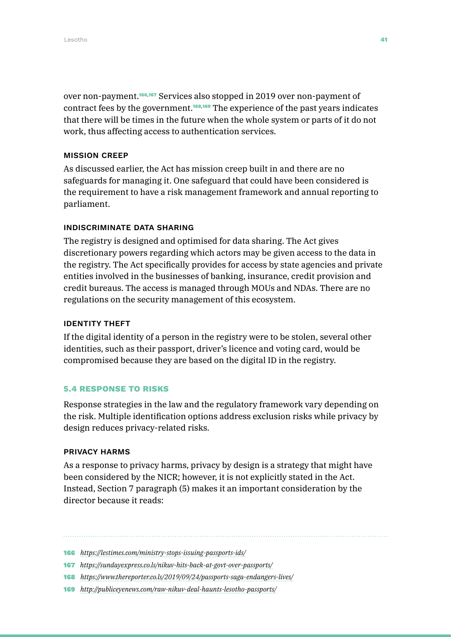over non-payment.<sup>166,167</sup> Services also stopped in 2019 over non-payment of contract fees by the government.168,169 The experience of the past years indicates that there will be times in the future when the whole system or parts of it do not work, thus affecting access to authentication services.

### MISSION CREEP

As discussed earlier, the Act has mission creep built in and there are no safeguards for managing it. One safeguard that could have been considered is the requirement to have a risk management framework and annual reporting to parliament.

### INDISCRIMINATE DATA SHARING

The registry is designed and optimised for data sharing. The Act gives discretionary powers regarding which actors may be given access to the data in the registry. The Act specifically provides for access by state agencies and private entities involved in the businesses of banking, insurance, credit provision and credit bureaus. The access is managed through MOUs and NDAs. There are no regulations on the security management of this ecosystem.

### IDENTITY THEFT

If the digital identity of a person in the registry were to be stolen, several other identities, such as their passport, driver's licence and voting card, would be compromised because they are based on the digital ID in the registry.

### 5.4 RESPONSE TO RISKS

Response strategies in the law and the regulatory framework vary depending on the risk. Multiple identification options address exclusion risks while privacy by design reduces privacy-related risks.

### PRIVACY HARMS

As a response to privacy harms, privacy by design is a strategy that might have been considered by the NICR; however, it is not explicitly stated in the Act. Instead, Section 7 paragraph (5) makes it an important consideration by the director because it reads:

- 167 *<https://sundayexpress.co.ls/nikuv-hits-back-at-govt-over-passports/>*
- 168 *<https://www.thereporter.co.ls/2019/09/24/passports-saga-endangers-lives/>*
- 169 *<http://publiceyenews.com/raw-nikuv-deal-haunts-lesotho-passports/>*

<sup>166</sup> *<https://lestimes.com/ministry-stops-issuing-passports-ids/>*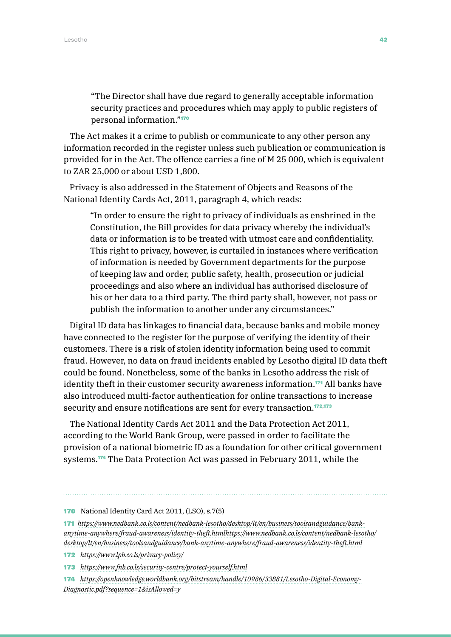"The Director shall have due regard to generally acceptable information security practices and procedures which may apply to public registers of personal information."<sup>170</sup>

The Act makes it a crime to publish or communicate to any other person any information recorded in the register unless such publication or communication is provided for in the Act. The offence carries a fine of M 25 000, which is equivalent to ZAR 25,000 or about USD 1,800.

Privacy is also addressed in the Statement of Objects and Reasons of the National Identity Cards Act, 2011, paragraph 4, which reads:

"In order to ensure the right to privacy of individuals as enshrined in the Constitution, the Bill provides for data privacy whereby the individual's data or information is to be treated with utmost care and confidentiality. This right to privacy, however, is curtailed in instances where verification of information is needed by Government departments for the purpose of keeping law and order, public safety, health, prosecution or judicial proceedings and also where an individual has authorised disclosure of his or her data to a third party. The third party shall, however, not pass or publish the information to another under any circumstances."

Digital ID data has linkages to financial data, because banks and mobile money have connected to the register for the purpose of verifying the identity of their customers. There is a risk of stolen identity information being used to commit fraud. However, no data on fraud incidents enabled by Lesotho digital ID data theft could be found. Nonetheless, some of the banks in Lesotho address the risk of identity theft in their customer security awareness information.<sup>171</sup> All banks have also introduced multi-factor authentication for online transactions to increase security and ensure notifications are sent for every transaction.<sup>172,173</sup>

The National Identity Cards Act 2011 and the Data Protection Act 2011, according to the World Bank Group, were passed in order to facilitate the provision of a national biometric ID as a foundation for other critical government systems.174 The Data Protection Act was passed in February 2011, while the

174 *[https://openknowledge.worldbank.org/bitstream/handle/10986/33881/Lesotho-Digital-Economy-](https://openknowledge.worldbank.org/bitstream/handle/10986/33881/Lesotho-Digital-Economy-Diagnostic.)[Diagnostic.pdf?sequence=1&isAllowed=y](https://openknowledge.worldbank.org/bitstream/handle/10986/33881/Lesotho-Digital-Economy-Diagnostic.)*

<sup>170</sup> National Identity Card Act 2011, (LSO), s.7(5)

<sup>171</sup> *[https://www.nedbank.co.ls/content/nedbank-lesotho/desktop/lt/en/business/toolsandguidance/bank](https://www.nedbank.co.ls/content/nedbank-lesotho/desktop/lt/en/business/toolsandguidance/bank-anyti)[anytime-anywhere/fraud-awareness/identity-theft.htmlhttps://www.nedbank.co.ls/content/nedbank-lesotho/](https://www.nedbank.co.ls/content/nedbank-lesotho/desktop/lt/en/business/toolsandguidance/bank-anyti) [desktop/lt/en/business/toolsandguidance/bank-anytime-anywhere/fraud-awareness/identity-theft.html](https://www.nedbank.co.ls/content/nedbank-lesotho/desktop/lt/en/business/toolsandguidance/bank-anyti)*

<sup>172</sup> *<https://www.lpb.co.ls/privacy-policy/>*

<sup>173</sup> *<https://www.fnb.co.ls/security-centre/protect-yourself.html>*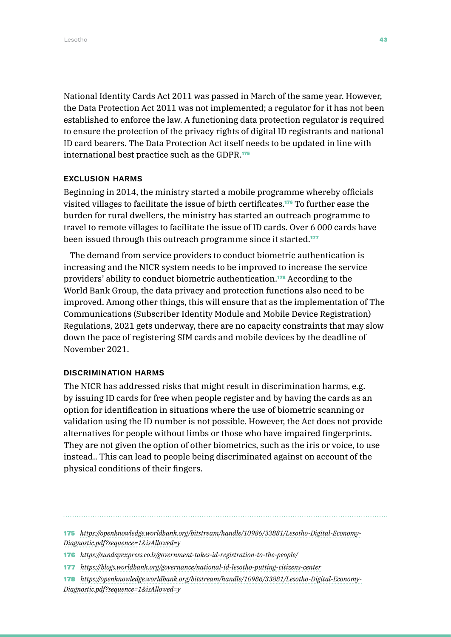National Identity Cards Act 2011 was passed in March of the same year. However, the Data Protection Act 2011 was not implemented; a regulator for it has not been established to enforce the law. A functioning data protection regulator is required to ensure the protection of the privacy rights of digital ID registrants and national ID card bearers. The Data Protection Act itself needs to be updated in line with international best practice such as the GDPR.<sup>175</sup>

### EXCLUSION HARMS

Beginning in 2014, the ministry started a mobile programme whereby officials visited villages to facilitate the issue of birth certificates.176 To further ease the burden for rural dwellers, the ministry has started an outreach programme to travel to remote villages to facilitate the issue of ID cards. Over 6 000 cards have been issued through this outreach programme since it started.<sup>177</sup>

The demand from service providers to conduct biometric authentication is increasing and the NICR system needs to be improved to increase the service providers' ability to conduct biometric authentication.178 According to the World Bank Group, the data privacy and protection functions also need to be improved. Among other things, this will ensure that as the implementation of The Communications (Subscriber Identity Module and Mobile Device Registration) Regulations, 2021 gets underway, there are no capacity constraints that may slow down the pace of registering SIM cards and mobile devices by the deadline of November 2021.

### DISCRIMINATION HARMS

The NICR has addressed risks that might result in discrimination harms, e.g. by issuing ID cards for free when people register and by having the cards as an option for identification in situations where the use of biometric scanning or validation using the ID number is not possible. However, the Act does not provide alternatives for people without limbs or those who have impaired fingerprints. They are not given the option of other biometrics, such as the iris or voice, to use instead.. This can lead to people being discriminated against on account of the physical conditions of their fingers.

- 176 *<https://sundayexpress.co.ls/government-takes-id-registration-to-the-people/>*
- 177 *<https://blogs.worldbank.org/governance/national-id-lesotho-putting-citizens-center>*
- 178 *[https://openknowledge.worldbank.org/bitstream/handle/10986/33881/Lesotho-Digital-Economy-](https://openknowledge.worldbank.org/bitstream/handle/10986/33881/Lesotho-Digital-Economy-Diagnostic.)[Diagnostic.pdf?sequence=1&isAllowed=y](https://openknowledge.worldbank.org/bitstream/handle/10986/33881/Lesotho-Digital-Economy-Diagnostic.)*

<sup>175</sup> *[https://openknowledge.worldbank.org/bitstream/handle/10986/33881/Lesotho-Digital-Economy-](https://openknowledge.worldbank.org/bitstream/handle/10986/33881/Lesotho-Digital-Economy-Diagnostic.)[Diagnostic.pdf?sequence=1&isAllowed=y](https://openknowledge.worldbank.org/bitstream/handle/10986/33881/Lesotho-Digital-Economy-Diagnostic.)*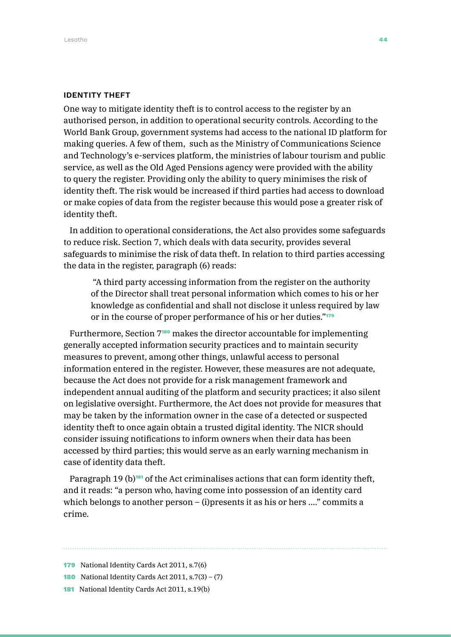#### IDENTITY THEFT

One way to mitigate identity theft is to control access to the register by an authorised person, in addition to operational security controls. According to the World Bank Group, government systems had access to the national ID platform for making queries. A few of them, such as the Ministry of Communications Science and Technology's e-services platform, the ministries of labour tourism and public service, as well as the Old Aged Pensions agency were provided with the ability to query the register. Providing only the ability to query minimises the risk of identity theft. The risk would be increased if third parties had access to download or make copies of data from the register because this would pose a greater risk of identity theft.

In addition to operational considerations, the Act also provides some safeguards to reduce risk. Section 7, which deals with data security, provides several safeguards to minimise the risk of data theft. In relation to third parties accessing the data in the register, paragraph (6) reads:

 "A third party accessing information from the register on the authority of the Director shall treat personal information which comes to his or her knowledge as confidential and shall not disclose it unless required by law or in the course of proper performance of his or her duties."<sup>179</sup>

Furthermore, Section 7<sup>180</sup> makes the director accountable for implementing generally accepted information security practices and to maintain security measures to prevent, among other things, unlawful access to personal information entered in the register. However, these measures are not adequate, because the Act does not provide for a risk management framework and independent annual auditing of the platform and security practices; it also silent on legislative oversight. Furthermore, the Act does not provide for measures that may be taken by the information owner in the case of a detected or suspected identity theft to once again obtain a trusted digital identity. The NICR should consider issuing notifications to inform owners when their data has been accessed by third parties; this would serve as an early warning mechanism in case of identity data theft.

Paragraph 19 (b)<sup>181</sup> of the Act criminalises actions that can form identity theft, and it reads: "a person who, having come into possession of an identity card which belongs to another person  $-$  (i)presents it as his or hers ...." commits a crime.

- 180 National Identity Cards Act 2011, s.7(3) (7)
- 181 National Identity Cards Act 2011, s.19(b)

<sup>179</sup> National Identity Cards Act 2011, s.7(6)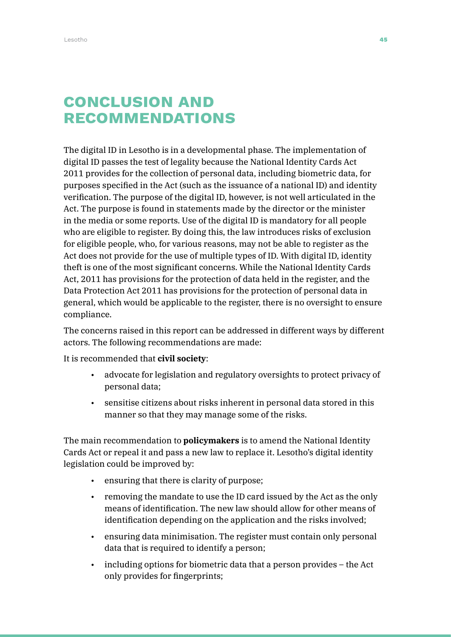### Conclusion and **RECOMMENDATIONS**

The digital ID in Lesotho is in a developmental phase. The implementation of digital ID passes the test of legality because the National Identity Cards Act 2011 provides for the collection of personal data, including biometric data, for purposes specified in the Act (such as the issuance of a national ID) and identity verification. The purpose of the digital ID, however, is not well articulated in the Act. The purpose is found in statements made by the director or the minister in the media or some reports. Use of the digital ID is mandatory for all people who are eligible to register. By doing this, the law introduces risks of exclusion for eligible people, who, for various reasons, may not be able to register as the Act does not provide for the use of multiple types of ID. With digital ID, identity theft is one of the most significant concerns. While the National Identity Cards Act, 2011 has provisions for the protection of data held in the register, and the Data Protection Act 2011 has provisions for the protection of personal data in general, which would be applicable to the register, there is no oversight to ensure compliance.

The concerns raised in this report can be addressed in different ways by different actors. The following recommendations are made:

It is recommended that **civil society**:

- advocate for legislation and regulatory oversights to protect privacy of personal data;
- sensitise citizens about risks inherent in personal data stored in this manner so that they may manage some of the risks.

The main recommendation to **policymakers** is to amend the National Identity Cards Act or repeal it and pass a new law to replace it. Lesotho's digital identity legislation could be improved by:

- ensuring that there is clarity of purpose;
- removing the mandate to use the ID card issued by the Act as the only means of identification. The new law should allow for other means of identification depending on the application and the risks involved;
- ensuring data minimisation. The register must contain only personal data that is required to identify a person;
- including options for biometric data that a person provides the Act only provides for fingerprints;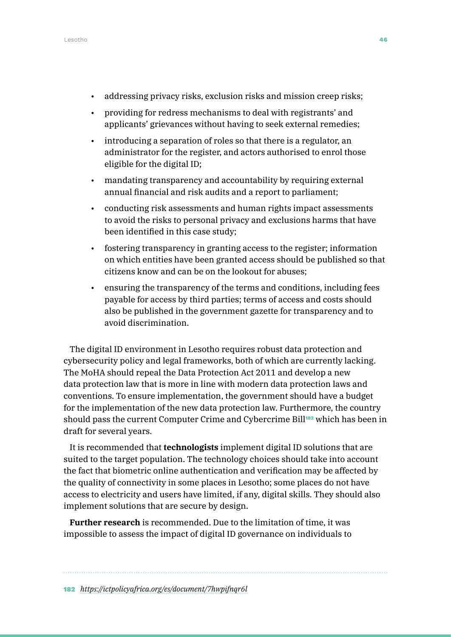- addressing privacy risks, exclusion risks and mission creep risks;
- providing for redress mechanisms to deal with registrants' and applicants' grievances without having to seek external remedies;
- introducing a separation of roles so that there is a regulator, an administrator for the register, and actors authorised to enrol those eligible for the digital ID;
- mandating transparency and accountability by requiring external annual financial and risk audits and a report to parliament;
- conducting risk assessments and human rights impact assessments to avoid the risks to personal privacy and exclusions harms that have been identified in this case study;
- fostering transparency in granting access to the register; information on which entities have been granted access should be published so that citizens know and can be on the lookout for abuses;
- ensuring the transparency of the terms and conditions, including fees payable for access by third parties; terms of access and costs should also be published in the government gazette for transparency and to avoid discrimination.

The digital ID environment in Lesotho requires robust data protection and cybersecurity policy and legal frameworks, both of which are currently lacking. The MoHA should repeal the Data Protection Act 2011 and develop a new data protection law that is more in line with modern data protection laws and conventions. To ensure implementation, the government should have a budget for the implementation of the new data protection law. Furthermore, the country should pass the current Computer Crime and Cybercrime Bill<sup>182</sup> which has been in draft for several years.

It is recommended that **technologists** implement digital ID solutions that are suited to the target population. The technology choices should take into account the fact that biometric online authentication and verification may be affected by the quality of connectivity in some places in Lesotho; some places do not have access to electricity and users have limited, if any, digital skills. They should also implement solutions that are secure by design.

**Further research** is recommended. Due to the limitation of time, it was impossible to assess the impact of digital ID governance on individuals to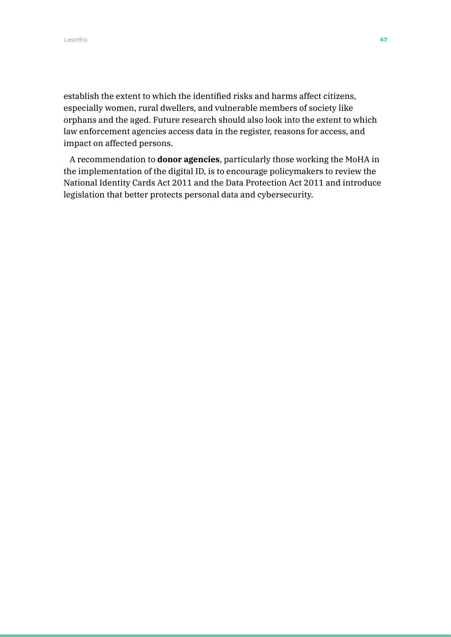establish the extent to which the identified risks and harms affect citizens, especially women, rural dwellers, and vulnerable members of society like orphans and the aged. Future research should also look into the extent to which law enforcement agencies access data in the register, reasons for access, and impact on affected persons.

A recommendation to **donor agencies**, particularly those working the MoHA in the implementation of the digital ID, is to encourage policymakers to review the National Identity Cards Act 2011 and the Data Protection Act 2011 and introduce legislation that better protects personal data and cybersecurity.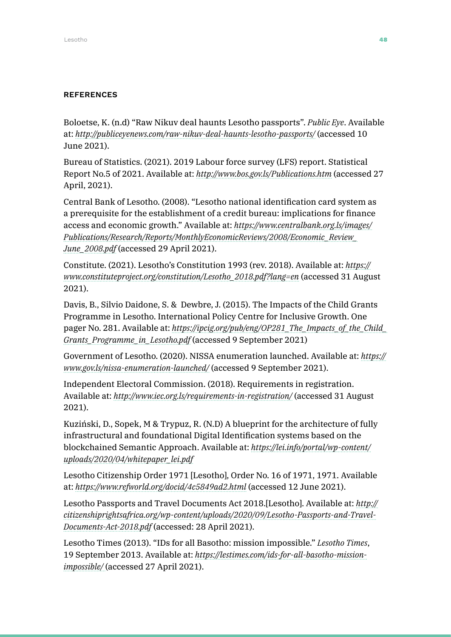### **REFERENCES**

Boloetse, K. (n.d) "Raw Nikuv deal haunts Lesotho passports". *Public Eye*. Available at: *<http://publiceyenews.com/raw-nikuv-deal-haunts-lesotho-passports/>* (accessed 10 June 2021).

Bureau of Statistics. (2021). 2019 Labour force survey (LFS) report. Statistical Report No.5 of 2021. Available at: *<http://www.bos.gov.ls/Publications.htm>* (accessed 27 April, 2021).

Central Bank of Lesotho. (2008). "Lesotho national identification card system as a prerequisite for the establishment of a credit bureau: implications for finance access and economic growth." Available at: *[https://www.centralbank.org.ls/images/](https://www.centralbank.org.ls/images/Publications/Research/Reports/MonthlyEconomicReviews/2008/Economic_Review_June_2008.pdf) [Publications/Research/Reports/MonthlyEconomicReviews/2008/Economic\\_Review\\_](https://www.centralbank.org.ls/images/Publications/Research/Reports/MonthlyEconomicReviews/2008/Economic_Review_June_2008.pdf) [June\\_2008.pdf](https://www.centralbank.org.ls/images/Publications/Research/Reports/MonthlyEconomicReviews/2008/Economic_Review_June_2008.pdf)* (accessed 29 April 2021).

Constitute. (2021). Lesotho's Constitution 1993 (rev. 2018). Available at: *[https://](https://www.constituteproject.org/constitution/Lesotho_2018.pdf?lang=en) [www.constituteproject.org/constitution/Lesotho\\_2018.pdf?lang=en](https://www.constituteproject.org/constitution/Lesotho_2018.pdf?lang=en)* (accessed 31 August 2021).

Davis, B., Silvio Daidone, S. & Dewbre, J. (2015). The Impacts of the Child Grants Programme in Lesotho. International Policy Centre for Inclusive Growth. One pager No. 281. Available at: *[https://ipcig.org/pub/eng/OP281\\_The\\_Impacts\\_of\\_the\\_Child\\_](https://ipcig.org/pub/eng/OP281_The_Impacts_of_the_Child_Grants_Programme_in_Lesotho.pdf) [Grants\\_Programme\\_in\\_Lesotho.pdf](https://ipcig.org/pub/eng/OP281_The_Impacts_of_the_Child_Grants_Programme_in_Lesotho.pdf)* (accessed 9 September 2021)

Government of Lesotho. (2020). NISSA enumeration launched. Available at: *[https://](https://www.gov.ls/nissa-enumeration-launched/) [www.gov.ls/nissa-enumeration-launched/](https://www.gov.ls/nissa-enumeration-launched/)* (accessed 9 September 2021).

Independent Electoral Commission. (2018). Requirements in registration. Available at: *<http://www.iec.org.ls/requirements-in-registration/>* (accessed 31 August 2021).

Kuziński, D., Sopek, M & Trypuz, R. (N.D) A blueprint for the architecture of fully infrastructural and foundational Digital Identification systems based on the blockchained Semantic Approach. Available at: *[https://lei.info/portal/wp-content/](https://lei.info/portal/wp-content/uploads/2020/04/whitepaper_lei.pdf) [uploads/2020/04/whitepaper\\_lei.pdf](https://lei.info/portal/wp-content/uploads/2020/04/whitepaper_lei.pdf)*

Lesotho Citizenship Order 1971 [Lesotho], Order No. 16 of 1971, 1971. Available at: *<https://www.refworld.org/docid/4c5849ad2.html>* (accessed 12 June 2021).

Lesotho Passports and Travel Documents Act 2018.[Lesotho]. Available at: *[http://](http://citizenshiprightsafrica.org/wp-content/uploads/2020/09/Lesotho-Passports-and-Travel-Documents-Act-2018.pdf) [citizenshiprightsafrica.org/wp-content/uploads/2020/09/Lesotho-Passports-and-Travel-](http://citizenshiprightsafrica.org/wp-content/uploads/2020/09/Lesotho-Passports-and-Travel-Documents-Act-2018.pdf)[Documents-Act-2018.pdf](http://citizenshiprightsafrica.org/wp-content/uploads/2020/09/Lesotho-Passports-and-Travel-Documents-Act-2018.pdf)* (accessed: 28 April 2021).

Lesotho Times (2013). "IDs for all Basotho: mission impossible." *Lesotho Times*, 19 September 2013. Available at: *[https://lestimes.com/ids-for-all-basotho-mission](https://lestimes.com/ids-for-all-basotho-mission-impossible/)[impossible/](https://lestimes.com/ids-for-all-basotho-mission-impossible/)* (accessed 27 April 2021).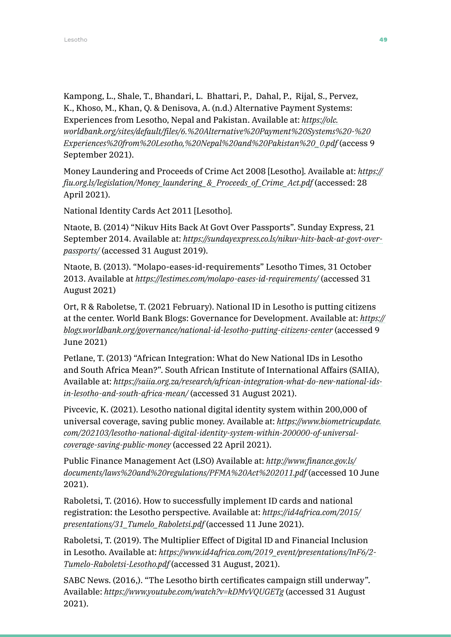Kampong, L., Shale, T., Bhandari, L. Bhattari, P., Dahal, P., Rijal, S., Pervez, K., Khoso, M., Khan, Q. & Denisova, A. (n.d.) Alternative Payment Systems: Experiences from Lesotho, Nepal and Pakistan. Available at: *[https://olc.](https://olc.worldbank.org/sites/default/files/6.%20Alternative%20Payment%20Systems%20-%20Experiences%20from%20Lesotho,%20Nepal%20and%20Pakistan%20_0.pdf) [worldbank.org/sites/default/files/6.%20Alternative%20Payment%20Systems%20-%20](https://olc.worldbank.org/sites/default/files/6.%20Alternative%20Payment%20Systems%20-%20Experiences%20from%20Lesotho,%20Nepal%20and%20Pakistan%20_0.pdf) [Experiences%20from%20Lesotho,%20Nepal%20and%20Pakistan%20\\_0.pdf](https://olc.worldbank.org/sites/default/files/6.%20Alternative%20Payment%20Systems%20-%20Experiences%20from%20Lesotho,%20Nepal%20and%20Pakistan%20_0.pdf)* (access 9 September 2021).

Money Laundering and Proceeds of Crime Act 2008 [Lesotho]. Available at: *[https://](https://fiu.org.ls/legislation/Money_laundering_&_Proceeds_of_Crime_Act.pdf) [fiu.org.ls/legislation/Money\\_laundering\\_&\\_Proceeds\\_of\\_Crime\\_Act.pdf](https://fiu.org.ls/legislation/Money_laundering_&_Proceeds_of_Crime_Act.pdf)* (accessed: 28 April 2021).

National Identity Cards Act 2011 [Lesotho].

Ntaote, B. (2014) "Nikuv Hits Back At Govt Over Passports". Sunday Express, 21 September 2014. Available at: *[https://sundayexpress.co.ls/nikuv-hits-back-at-govt-over](https://sundayexpress.co.ls/nikuv-hits-back-at-govt-over-passports/)[passports/](https://sundayexpress.co.ls/nikuv-hits-back-at-govt-over-passports/)* (accessed 31 August 2019).

Ntaote, B. (2013). "Molapo-eases-id-requirements" Lesotho Times, 31 October 2013. Available at *<https://lestimes.com/molapo-eases-id-requirements/>* (accessed 31 August 2021)

Ort, R & Raboletse, T. (2021 February). National ID in Lesotho is putting citizens at the center. World Bank Blogs: Governance for Development. Available at: *[https://](https://blogs.worldbank.org/governance/national-id-lesotho-putting-citizens-center) [blogs.worldbank.org/governance/national-id-lesotho-putting-citizens-center](https://blogs.worldbank.org/governance/national-id-lesotho-putting-citizens-center)* (accessed 9 June 2021)

Petlane, T. (2013) "African Integration: What do New National IDs in Lesotho and South Africa Mean?". South African Institute of International Affairs (SAIIA), Available at: *[https://saiia.org.za/research/african-integration-what-do-new-national-ids](https://saiia.org.za/research/african-integration-what-do-new-national-ids-in-lesotho-and-south-africa-mean/)[in-lesotho-and-south-africa-mean/](https://saiia.org.za/research/african-integration-what-do-new-national-ids-in-lesotho-and-south-africa-mean/)* (accessed 31 August 2021).

Pivcevic, K. (2021). Lesotho national digital identity system within 200,000 of universal coverage, saving public money. Available at: *[https://www.biometricupdate.](https://www.biometricupdate.com/202103/lesotho-national-digital-identity-system-within-200000-of-universal-coverage-saving-public-money) [com/202103/lesotho-national-digital-identity-system-within-200000-of-universal](https://www.biometricupdate.com/202103/lesotho-national-digital-identity-system-within-200000-of-universal-coverage-saving-public-money)[coverage-saving-public-money](https://www.biometricupdate.com/202103/lesotho-national-digital-identity-system-within-200000-of-universal-coverage-saving-public-money)* (accessed 22 April 2021).

Public Finance Management Act (LSO) Available at: *[http://www.finance.gov.ls/](http://www.finance.gov.ls/documents/laws%20and%20regulations/PFMA%20Act%202011.pdf) [documents/laws%20and%20regulations/PFMA%20Act%202011.pdf](http://www.finance.gov.ls/documents/laws%20and%20regulations/PFMA%20Act%202011.pdf)* (accessed 10 June 2021).

Raboletsi, T. (2016). How to successfully implement ID cards and national registration: the Lesotho perspective. Available at: *[https://id4africa.com/2015/](https://id4africa.com/2015/presentations/31_Tumelo_Raboletsi.pdf) [presentations/31\\_Tumelo\\_Raboletsi.pdf](https://id4africa.com/2015/presentations/31_Tumelo_Raboletsi.pdf)* (accessed 11 June 2021).

Raboletsi, T. (2019). The Multiplier Effect of Digital ID and Financial Inclusion in Lesotho. Available at: *[https://www.id4africa.com/2019\\_event/presentations/InF6/2-](https://www.id4africa.com/2019_event/presentations/InF6/2-Tumelo-Raboletsi-Lesotho.pdf) [Tumelo-Raboletsi-Lesotho.pdf](https://www.id4africa.com/2019_event/presentations/InF6/2-Tumelo-Raboletsi-Lesotho.pdf)* (accessed 31 August, 2021).

SABC News. (2016,). "The Lesotho birth certificates campaign still underway". Available: *<https://www.youtube.com/watch?v=kDMvVQUGETg>* (accessed 31 August 2021).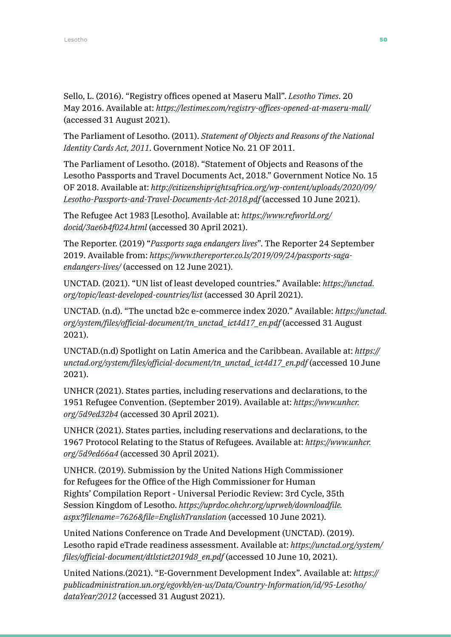Sello, L. (2016). "Registry offices opened at Maseru Mall". *Lesotho Times*. 20 May 2016. Available at: *<https://lestimes.com/registry-offices-opened-at-maseru-mall/>* (accessed 31 August 2021).

The Parliament of Lesotho. (2011). *Statement of Objects and Reasons of the National Identity Cards Act, 2011*. Government Notice No. 21 OF 2011.

The Parliament of Lesotho. (2018). "Statement of Objects and Reasons of the Lesotho Passports and Travel Documents Act, 2018." Government Notice No. 15 OF 2018. Available at: *[http://citizenshiprightsafrica.org/wp-content/uploads/2020/09/](http://citizenshiprightsafrica.org/wp-content/uploads/2020/09/Lesotho-Passports-and-Travel-Documents-Act-2018.pdf) [Lesotho-Passports-and-Travel-Documents-Act-2018.pdf](http://citizenshiprightsafrica.org/wp-content/uploads/2020/09/Lesotho-Passports-and-Travel-Documents-Act-2018.pdf)* (accessed 10 June 2021).

The Refugee Act 1983 [Lesotho]. Available at: *[https://www.refworld.org/](https://www.refworld.org/docid/3ae6b4f024.html) [docid/3ae6b4f024.html](https://www.refworld.org/docid/3ae6b4f024.html)* (accessed 30 April 2021).

The Reporter. (2019) "*Passports saga endangers lives*". The Reporter 24 September 2019. Available from: *[https://www.thereporter.co.ls/2019/09/24/passports-saga](https://www.thereporter.co.ls/2019/09/24/passports-saga-endangers-lives/)[endangers-lives/](https://www.thereporter.co.ls/2019/09/24/passports-saga-endangers-lives/)* (accessed on 12 June 2021).

UNCTAD. (2021). "UN list of least developed countries." Available: *[https://unctad.](https://unctad.org/topic/least-developed-countries/list) [org/topic/least-developed-countries/list](https://unctad.org/topic/least-developed-countries/list)* (accessed 30 April 2021).

UNCTAD. (n.d). "The unctad b2c e-commerce index 2020." Available: *[https://unctad.](https://unctad.org/system/files/official-document/tn_unctad_ict4d17_en.pdf) [org/system/files/official-document/tn\\_unctad\\_ict4d17\\_en.pdf](https://unctad.org/system/files/official-document/tn_unctad_ict4d17_en.pdf)* (accessed 31 August 2021).

UNCTAD.(n.d) Spotlight on Latin America and the Caribbean. Available at: *[https://](https://unctad.org/system/files/official-document/tn_unctad_ict4d17_en.pdf) [unctad.org/system/files/official-document/tn\\_unctad\\_ict4d17\\_en.pdf](https://unctad.org/system/files/official-document/tn_unctad_ict4d17_en.pdf)* (accessed 10 June 2021).

UNHCR (2021). States parties, including reservations and declarations, to the 1951 Refugee Convention. (September 2019). Available at: *[https://www.unhcr.](https://www.unhcr.org/5d9ed32b4) [org/5d9ed32b4](https://www.unhcr.org/5d9ed32b4)* (accessed 30 April 2021).

UNHCR (2021). States parties, including reservations and declarations, to the 1967 Protocol Relating to the Status of Refugees. Available at: *[https://www.unhcr.](https://www.unhcr.org/5d9ed66a4) [org/5d9ed66a4](https://www.unhcr.org/5d9ed66a4)* (accessed 30 April 2021).

UNHCR. (2019). Submission by the United Nations High Commissioner for Refugees for the Office of the High Commissioner for Human Rights' Compilation Report - Universal Periodic Review: 3rd Cycle, 35th Session Kingdom of Lesotho. *[https://uprdoc.ohchr.org/uprweb/downloadfile.](https://uprdoc.ohchr.org/uprweb/downloadfile.aspx?filename=7626&file=EnglishTranslation) [aspx?filename=7626&file=EnglishTranslation](https://uprdoc.ohchr.org/uprweb/downloadfile.aspx?filename=7626&file=EnglishTranslation)* (accessed 10 June 2021).

United Nations Conference on Trade And Development (UNCTAD). (2019). Lesotho rapid eTrade readiness assessment. Available at: *[https://unctad.org/system/](https://unctad.org/system/files/official-document/dtlstict2019d8_en.pdf) [files/official-document/dtlstict2019d8\\_en.pdf](https://unctad.org/system/files/official-document/dtlstict2019d8_en.pdf)* (accessed 10 June 10, 2021).

United Nations.(2021). "E-Government Development Index". Available at: *[https://](https://publicadministration.un.org/egovkb/en-us/Data/Country-Information/id/95-Lesotho/dataYear/2012) [publicadministration.un.org/egovkb/en-us/Data/Country-Information/id/95-Lesotho/](https://publicadministration.un.org/egovkb/en-us/Data/Country-Information/id/95-Lesotho/dataYear/2012) [dataYear/2012](https://publicadministration.un.org/egovkb/en-us/Data/Country-Information/id/95-Lesotho/dataYear/2012)* (accessed 31 August 2021).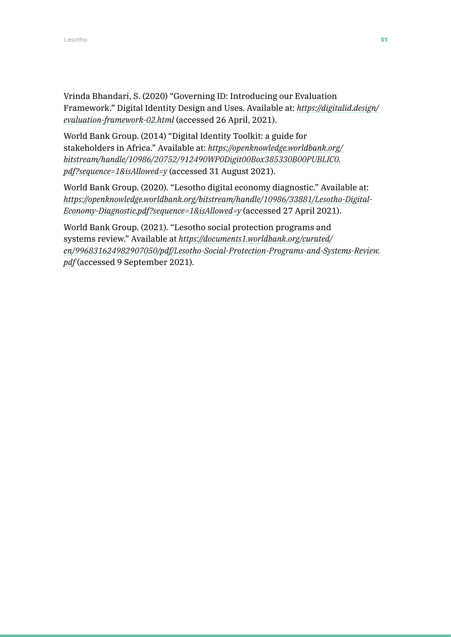Vrinda Bhandari, S. (2020) "Governing ID: Introducing our Evaluation Framework." Digital Identity Design and Uses. Available at: *[https://digitalid.design/](https://digitalid.design/evaluation-framework-02.html) [evaluation-framework-02.html](https://digitalid.design/evaluation-framework-02.html)* (accessed 26 April, 2021).

World Bank Group. (2014) "Digital Identity Toolkit: a guide for stakeholders in Africa." Available at: *[https://openknowledge.worldbank.org/](https://openknowledge.worldbank.org/bitstream/handle/10986/20752/912490WP0Digit00Box385330B00PUBLIC0.pdf?sequence=1&isAllowed=y) [bitstream/handle/10986/20752/912490WP0Digit00Box385330B00PUBLIC0.](https://openknowledge.worldbank.org/bitstream/handle/10986/20752/912490WP0Digit00Box385330B00PUBLIC0.pdf?sequence=1&isAllowed=y) [pdf?sequence=1&isAllowed=y](https://openknowledge.worldbank.org/bitstream/handle/10986/20752/912490WP0Digit00Box385330B00PUBLIC0.pdf?sequence=1&isAllowed=y)* (accessed 31 August 2021).

World Bank Group. (2020). "Lesotho digital economy diagnostic." Available at: *[https://openknowledge.worldbank.org/bitstream/handle/10986/33881/Lesotho-Digital-](https://openknowledge.worldbank.org/bitstream/handle/10986/33881/Lesotho-Digital-Economy-Diagnostic.pdf?sequence=1&isAllowed=y)[Economy-Diagnostic.pdf?sequence=1&isAllowed=y](https://openknowledge.worldbank.org/bitstream/handle/10986/33881/Lesotho-Digital-Economy-Diagnostic.pdf?sequence=1&isAllowed=y)* (accessed 27 April 2021).

World Bank Group. (2021). "Lesotho social protection programs and systems review." Available at *[https://documents1.worldbank.org/curated/](https://documents1.worldbank.org/curated/en/996831624982907050/pdf/Lesotho-Social-Protection-Programs-and-Systems-Review.pdf) [en/996831624982907050/pdf/Lesotho-Social-Protection-Programs-and-Systems-Review.](https://documents1.worldbank.org/curated/en/996831624982907050/pdf/Lesotho-Social-Protection-Programs-and-Systems-Review.pdf) [pdf](https://documents1.worldbank.org/curated/en/996831624982907050/pdf/Lesotho-Social-Protection-Programs-and-Systems-Review.pdf)* (accessed 9 September 2021).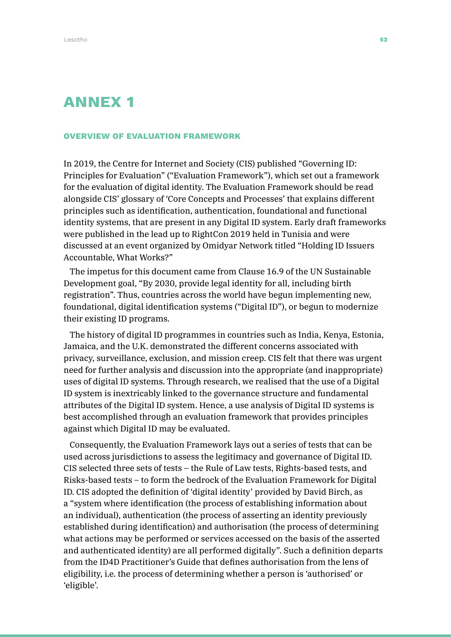### ANNEX 1

#### OVERVIEW OF EVALUATION FRAMEWORK

In 2019, the Centre for Internet and Society (CIS) published "Governing ID: Principles for Evaluation" ("Evaluation Framework"), which set out a framework for the evaluation of digital identity. The Evaluation Framework should be read alongside CIS' glossary of 'Core Concepts and Processes' that explains different principles such as identification, authentication, foundational and functional identity systems, that are present in any Digital ID system. Early draft frameworks were published in the lead up to RightCon 2019 held in Tunisia and were discussed at an event organized by Omidyar Network titled "Holding ID Issuers Accountable, What Works?"

The impetus for this document came from Clause 16.9 of the UN Sustainable Development goal, "By 2030, provide legal identity for all, including birth registration". Thus, countries across the world have begun implementing new, foundational, digital identification systems ("Digital ID"), or begun to modernize their existing ID programs.

The history of digital ID programmes in countries such as India, Kenya, Estonia, Jamaica, and the U.K. demonstrated the different concerns associated with privacy, surveillance, exclusion, and mission creep. CIS felt that there was urgent need for further analysis and discussion into the appropriate (and inappropriate) uses of digital ID systems. Through research, we realised that the use of a Digital ID system is inextricably linked to the governance structure and fundamental attributes of the Digital ID system. Hence, a use analysis of Digital ID systems is best accomplished through an evaluation framework that provides principles against which Digital ID may be evaluated.

Consequently, the Evaluation Framework lays out a series of tests that can be used across jurisdictions to assess the legitimacy and governance of Digital ID. CIS selected three sets of tests – the Rule of Law tests, Rights-based tests, and Risks-based tests – to form the bedrock of the Evaluation Framework for Digital ID. CIS adopted the definition of 'digital identity' provided by David Birch, as a "system where identification (the process of establishing information about an individual), authentication (the process of asserting an identity previously established during identification) and authorisation (the process of determining what actions may be performed or services accessed on the basis of the asserted and authenticated identity) are all performed digitally". Such a definition departs from the ID4D Practitioner's Guide that defines authorisation from the lens of eligibility, i.e. the process of determining whether a person is 'authorised' or 'eligible'.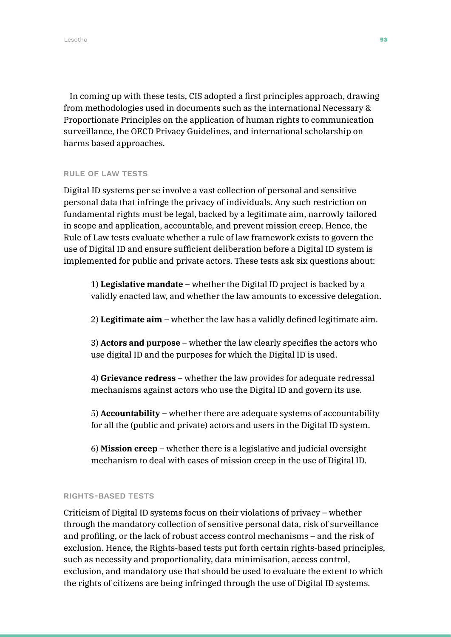In coming up with these tests, CIS adopted a first principles approach, drawing from methodologies used in documents such as the international Necessary & Proportionate Principles on the application of human rights to communication surveillance, the OECD Privacy Guidelines, and international scholarship on harms based approaches.

#### RULE OF LAW TESTS

Digital ID systems per se involve a vast collection of personal and sensitive personal data that infringe the privacy of individuals. Any such restriction on fundamental rights must be legal, backed by a legitimate aim, narrowly tailored in scope and application, accountable, and prevent mission creep. Hence, the Rule of Law tests evaluate whether a rule of law framework exists to govern the use of Digital ID and ensure sufficient deliberation before a Digital ID system is implemented for public and private actors. These tests ask six questions about:

1) **Legislative mandate** – whether the Digital ID project is backed by a validly enacted law, and whether the law amounts to excessive delegation.

2) **Legitimate aim** – whether the law has a validly defined legitimate aim.

3) **Actors and purpose** – whether the law clearly specifies the actors who use digital ID and the purposes for which the Digital ID is used.

4) **Grievance redress** – whether the law provides for adequate redressal mechanisms against actors who use the Digital ID and govern its use.

5) **Accountability** – whether there are adequate systems of accountability for all the (public and private) actors and users in the Digital ID system.

6) **Mission creep** – whether there is a legislative and judicial oversight mechanism to deal with cases of mission creep in the use of Digital ID.

### RIGHTS-BASED TESTS

Criticism of Digital ID systems focus on their violations of privacy – whether through the mandatory collection of sensitive personal data, risk of surveillance and profiling, or the lack of robust access control mechanisms – and the risk of exclusion. Hence, the Rights-based tests put forth certain rights-based principles, such as necessity and proportionality, data minimisation, access control, exclusion, and mandatory use that should be used to evaluate the extent to which the rights of citizens are being infringed through the use of Digital ID systems.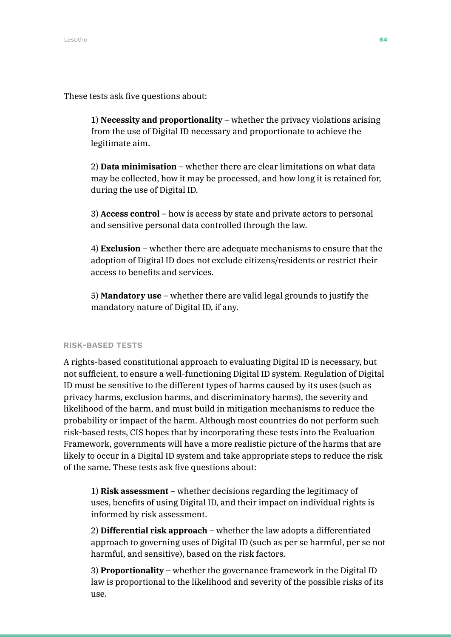These tests ask five questions about:

1) **Necessity and proportionality** – whether the privacy violations arising from the use of Digital ID necessary and proportionate to achieve the legitimate aim.

2) **Data minimisation** – whether there are clear limitations on what data may be collected, how it may be processed, and how long it is retained for, during the use of Digital ID.

3) **Access control** – how is access by state and private actors to personal and sensitive personal data controlled through the law.

4) **Exclusion** – whether there are adequate mechanisms to ensure that the adoption of Digital ID does not exclude citizens/residents or restrict their access to benefits and services.

5) **Mandatory use** – whether there are valid legal grounds to justify the mandatory nature of Digital ID, if any.

### RISK-BASED TESTS

A rights-based constitutional approach to evaluating Digital ID is necessary, but not sufficient, to ensure a well-functioning Digital ID system. Regulation of Digital ID must be sensitive to the different types of harms caused by its uses (such as privacy harms, exclusion harms, and discriminatory harms), the severity and likelihood of the harm, and must build in mitigation mechanisms to reduce the probability or impact of the harm. Although most countries do not perform such risk-based tests, CIS hopes that by incorporating these tests into the Evaluation Framework, governments will have a more realistic picture of the harms that are likely to occur in a Digital ID system and take appropriate steps to reduce the risk of the same. These tests ask five questions about:

1) **Risk assessment** – whether decisions regarding the legitimacy of uses, benefits of using Digital ID, and their impact on individual rights is informed by risk assessment.

2) **Differential risk approach** – whether the law adopts a differentiated approach to governing uses of Digital ID (such as per se harmful, per se not harmful, and sensitive), based on the risk factors.

3) **Proportionality** – whether the governance framework in the Digital ID law is proportional to the likelihood and severity of the possible risks of its use.